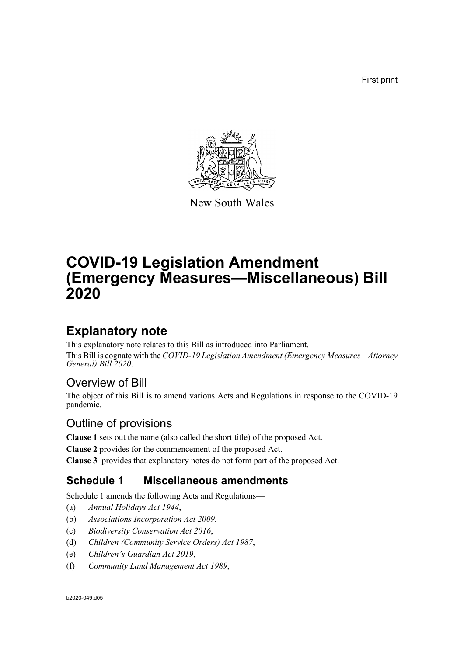First print



New South Wales

# **COVID-19 Legislation Amendment (Emergency Measures—Miscellaneous) Bill 2020**

# **Explanatory note**

This explanatory note relates to this Bill as introduced into Parliament. This Bill is cognate with the *COVID-19 Legislation Amendment (Emergency Measures—Attorney General) Bill 2020*.

# Overview of Bill

The object of this Bill is to amend various Acts and Regulations in response to the COVID-19 pandemic.

# Outline of provisions

**Clause 1** sets out the name (also called the short title) of the proposed Act.

**Clause 2** provides for the commencement of the proposed Act.

**Clause 3** provides that explanatory notes do not form part of the proposed Act.

# **Schedule 1 Miscellaneous amendments**

Schedule 1 amends the following Acts and Regulations—

- (a) *Annual Holidays Act 1944*,
- (b) *Associations Incorporation Act 2009*,
- (c) *Biodiversity Conservation Act 2016*,
- (d) *Children (Community Service Orders) Act 1987*,
- (e) *Children's Guardian Act 2019*,
- (f) *Community Land Management Act 1989*,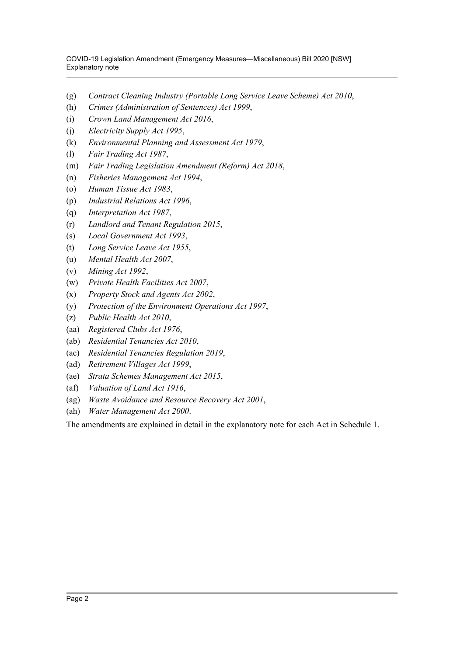COVID-19 Legislation Amendment (Emergency Measures—Miscellaneous) Bill 2020 [NSW] Explanatory note

- (g) *Contract Cleaning Industry (Portable Long Service Leave Scheme) Act 2010*,
- (h) *Crimes (Administration of Sentences) Act 1999*,
- (i) *Crown Land Management Act 2016*,
- (j) *Electricity Supply Act 1995*,
- (k) *Environmental Planning and Assessment Act 1979*,
- (l) *Fair Trading Act 1987*,
- (m) *Fair Trading Legislation Amendment (Reform) Act 2018*,
- (n) *Fisheries Management Act 1994*,
- (o) *Human Tissue Act 1983*,
- (p) *Industrial Relations Act 1996*,
- (q) *Interpretation Act 1987*,
- (r) *Landlord and Tenant Regulation 2015*,
- (s) *Local Government Act 1993*,
- (t) *Long Service Leave Act 1955*,
- (u) *Mental Health Act 2007*,
- (v) *Mining Act 1992*,
- (w) *Private Health Facilities Act 2007*,
- (x) *Property Stock and Agents Act 2002*,
- (y) *Protection of the Environment Operations Act 1997*,
- (z) *Public Health Act 2010*,
- (aa) *Registered Clubs Act 1976*,
- (ab) *Residential Tenancies Act 2010*,
- (ac) *Residential Tenancies Regulation 2019*,
- (ad) *Retirement Villages Act 1999*,
- (ae) *Strata Schemes Management Act 2015*,
- (af) *Valuation of Land Act 1916*,
- (ag) *Waste Avoidance and Resource Recovery Act 2001*,
- (ah) *Water Management Act 2000*.

The amendments are explained in detail in the explanatory note for each Act in Schedule 1.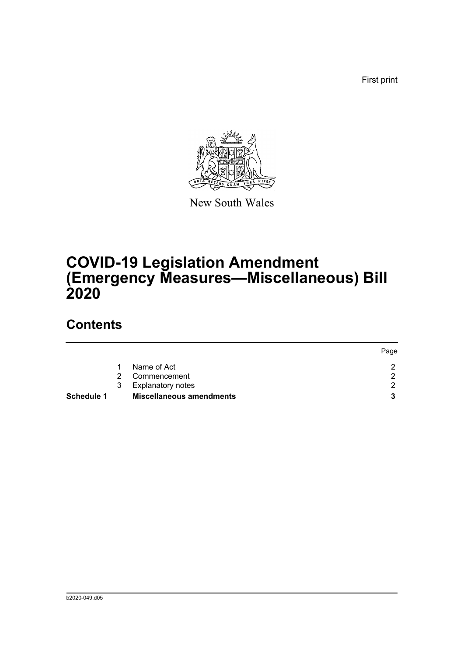First print



New South Wales

# **COVID-19 Legislation Amendment (Emergency Measures—Miscellaneous) Bill 2020**

# **Contents**

|                   |             |                                 | Page |
|-------------------|-------------|---------------------------------|------|
|                   |             | Name of Act                     |      |
|                   | $2^{\circ}$ | Commencement                    | ົ    |
|                   | 3           | <b>Explanatory notes</b>        | ⌒    |
| <b>Schedule 1</b> |             | <b>Miscellaneous amendments</b> |      |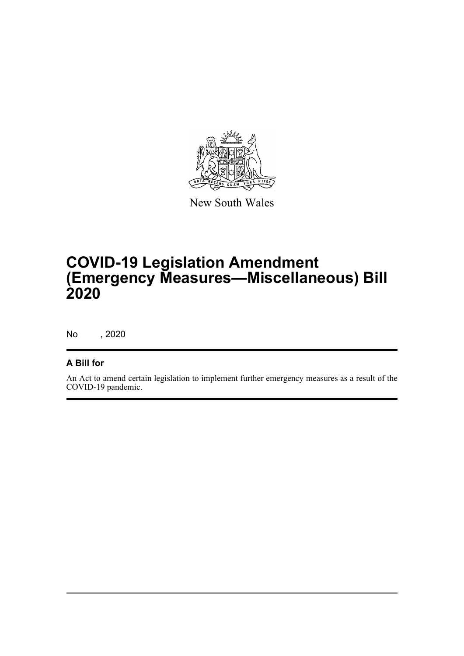

New South Wales

# **COVID-19 Legislation Amendment (Emergency Measures—Miscellaneous) Bill 2020**

No , 2020

# **A Bill for**

An Act to amend certain legislation to implement further emergency measures as a result of the COVID-19 pandemic.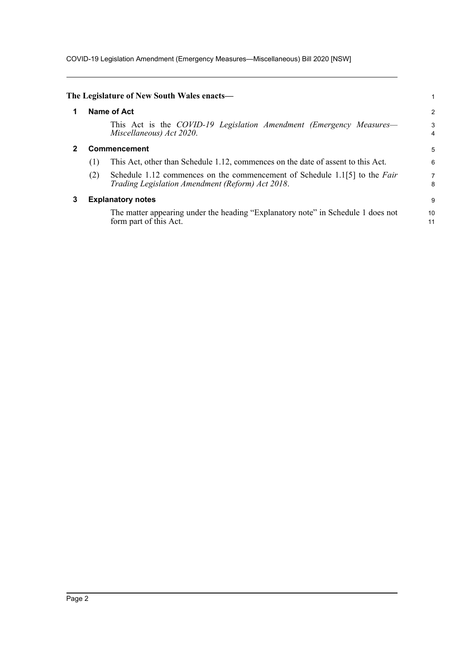COVID-19 Legislation Amendment (Emergency Measures—Miscellaneous) Bill 2020 [NSW]

<span id="page-4-2"></span><span id="page-4-1"></span><span id="page-4-0"></span>

|   |     | The Legislature of New South Wales enacts—                                                                                     |                     |
|---|-----|--------------------------------------------------------------------------------------------------------------------------------|---------------------|
|   |     | Name of Act                                                                                                                    | 2                   |
|   |     | This Act is the COVID-19 Legislation Amendment (Emergency Measures—<br>Miscellaneous) Act 2020.                                | 3<br>$\overline{4}$ |
|   |     | Commencement                                                                                                                   | 5                   |
|   | (1) | This Act, other than Schedule 1.12, commences on the date of assent to this Act.                                               | 6                   |
|   | (2) | Schedule 1.12 commences on the commencement of Schedule 1.1[5] to the Fair<br>Trading Legislation Amendment (Reform) Act 2018. | 7<br>8              |
| 3 |     | <b>Explanatory notes</b>                                                                                                       | 9                   |
|   |     | The matter appearing under the heading "Explanatory note" in Schedule 1 does not<br>form part of this Act.                     | 10<br>11            |
|   |     |                                                                                                                                |                     |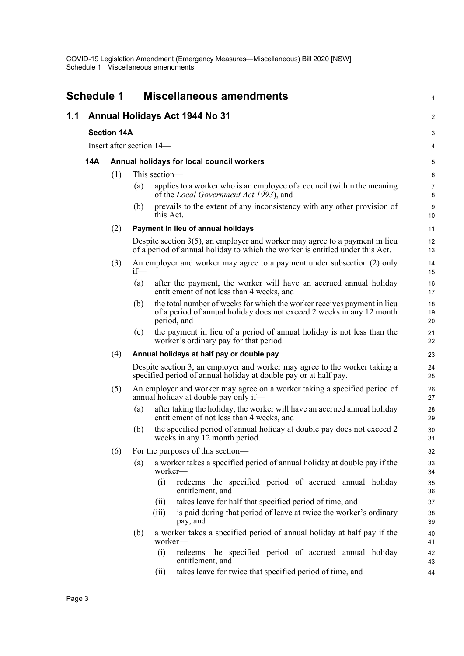<span id="page-5-0"></span>

|     | <b>Schedule 1</b>                                                                                                                                                           |                                                                                                                           |     |                          | <b>Miscellaneous amendments</b>                                                                                                                                 | 1                      |  |  |  |
|-----|-----------------------------------------------------------------------------------------------------------------------------------------------------------------------------|---------------------------------------------------------------------------------------------------------------------------|-----|--------------------------|-----------------------------------------------------------------------------------------------------------------------------------------------------------------|------------------------|--|--|--|
| 1.1 | Annual Holidays Act 1944 No 31                                                                                                                                              |                                                                                                                           |     |                          |                                                                                                                                                                 |                        |  |  |  |
|     |                                                                                                                                                                             | <b>Section 14A</b>                                                                                                        |     |                          |                                                                                                                                                                 |                        |  |  |  |
|     |                                                                                                                                                                             |                                                                                                                           |     | Insert after section 14— |                                                                                                                                                                 | 4                      |  |  |  |
|     | 14A                                                                                                                                                                         |                                                                                                                           |     |                          | Annual holidays for local council workers                                                                                                                       | 5                      |  |  |  |
|     |                                                                                                                                                                             | (1)                                                                                                                       |     | This section-            |                                                                                                                                                                 | 6                      |  |  |  |
|     |                                                                                                                                                                             |                                                                                                                           | (a) |                          | applies to a worker who is an employee of a council (within the meaning<br>of the <i>Local Government Act 1993</i> ), and                                       | 7<br>8                 |  |  |  |
|     |                                                                                                                                                                             |                                                                                                                           | (b) | this Act.                | prevails to the extent of any inconsistency with any other provision of                                                                                         | $\boldsymbol{9}$<br>10 |  |  |  |
|     |                                                                                                                                                                             | (2)                                                                                                                       |     |                          | Payment in lieu of annual holidays                                                                                                                              | 11                     |  |  |  |
|     |                                                                                                                                                                             |                                                                                                                           |     |                          | Despite section $3(5)$ , an employer and worker may agree to a payment in lieu<br>of a period of annual holiday to which the worker is entitled under this Act. | 12<br>13               |  |  |  |
|     |                                                                                                                                                                             | (3)                                                                                                                       | if  |                          | An employer and worker may agree to a payment under subsection (2) only                                                                                         | 14<br>15               |  |  |  |
|     | (a)<br>(b)                                                                                                                                                                  |                                                                                                                           |     |                          | after the payment, the worker will have an accrued annual holiday<br>entitlement of not less than 4 weeks, and                                                  | 16<br>17               |  |  |  |
|     |                                                                                                                                                                             |                                                                                                                           |     |                          | the total number of weeks for which the worker receives payment in lieu<br>of a period of annual holiday does not exceed 2 weeks in any 12 month<br>period, and |                        |  |  |  |
|     | the payment in lieu of a period of annual holiday is not less than the<br>(c)<br>worker's ordinary pay for that period.<br>(4)<br>Annual holidays at half pay or double pay |                                                                                                                           |     |                          | 21<br>22                                                                                                                                                        |                        |  |  |  |
|     |                                                                                                                                                                             |                                                                                                                           |     |                          | 23                                                                                                                                                              |                        |  |  |  |
|     | Despite section 3, an employer and worker may agree to the worker taking a<br>specified period of annual holiday at double pay or at half pay.                              |                                                                                                                           |     | 24<br>25                 |                                                                                                                                                                 |                        |  |  |  |
|     |                                                                                                                                                                             | An employer and worker may agree on a worker taking a specified period of<br>(5)<br>annual holiday at double pay only if— |     |                          |                                                                                                                                                                 | 26<br>27               |  |  |  |
|     |                                                                                                                                                                             |                                                                                                                           | (a) |                          | after taking the holiday, the worker will have an accrued annual holiday<br>entitlement of not less than 4 weeks, and                                           | 28<br>29               |  |  |  |
|     |                                                                                                                                                                             |                                                                                                                           | (b) |                          | the specified period of annual holiday at double pay does not exceed 2<br>weeks in any 12 month period.                                                         | 30<br>31               |  |  |  |
|     |                                                                                                                                                                             | (6)                                                                                                                       |     |                          | For the purposes of this section—                                                                                                                               | 32                     |  |  |  |
|     | a worker takes a specified period of annual holiday at double pay if the<br>(a)<br>worker—                                                                                  |                                                                                                                           |     |                          |                                                                                                                                                                 | 33<br>34               |  |  |  |
|     |                                                                                                                                                                             |                                                                                                                           |     | (i)                      | redeems the specified period of accrued annual holiday<br>entitlement, and                                                                                      | 35<br>36               |  |  |  |
|     |                                                                                                                                                                             |                                                                                                                           |     | (11)                     | takes leave for half that specified period of time, and                                                                                                         | 37                     |  |  |  |
|     |                                                                                                                                                                             |                                                                                                                           |     | (iii)                    | is paid during that period of leave at twice the worker's ordinary<br>pay, and                                                                                  | 38<br>39               |  |  |  |
|     |                                                                                                                                                                             |                                                                                                                           | (b) | worker—                  | a worker takes a specified period of annual holiday at half pay if the                                                                                          | 40<br>41               |  |  |  |
|     |                                                                                                                                                                             |                                                                                                                           |     | (i)                      | redeems the specified period of accrued annual holiday<br>entitlement, and                                                                                      | 42<br>43               |  |  |  |
|     |                                                                                                                                                                             |                                                                                                                           |     | (ii)                     | takes leave for twice that specified period of time, and                                                                                                        | 44                     |  |  |  |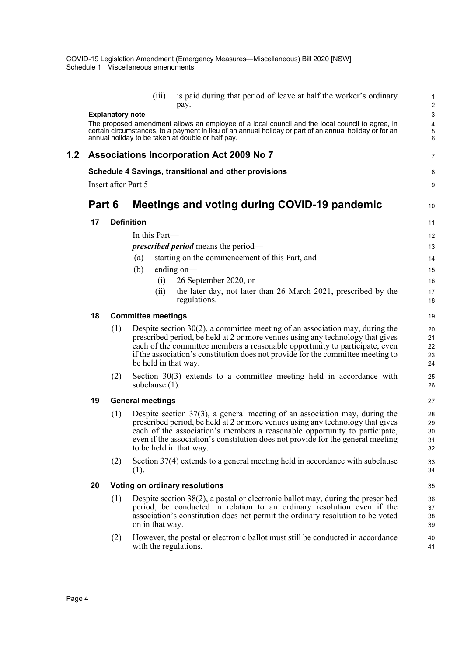|     |        |                         | (iii)                     | is paid during that period of leave at half the worker's ordinary<br>pay.                                                                                                                                                                                                                                                           | 1<br>$\overline{c}$        |
|-----|--------|-------------------------|---------------------------|-------------------------------------------------------------------------------------------------------------------------------------------------------------------------------------------------------------------------------------------------------------------------------------------------------------------------------------|----------------------------|
|     |        | <b>Explanatory note</b> |                           | The proposed amendment allows an employee of a local council and the local council to agree, in<br>certain circumstances, to a payment in lieu of an annual holiday or part of an annual holiday or for an                                                                                                                          | 3<br>4<br>5                |
|     |        |                         |                           | annual holiday to be taken at double or half pay.                                                                                                                                                                                                                                                                                   | 6                          |
| 1.2 |        |                         |                           | <b>Associations Incorporation Act 2009 No 7</b>                                                                                                                                                                                                                                                                                     | 7                          |
|     |        |                         |                           | Schedule 4 Savings, transitional and other provisions                                                                                                                                                                                                                                                                               | 8                          |
|     |        |                         | Insert after Part 5-      |                                                                                                                                                                                                                                                                                                                                     | 9                          |
|     | Part 6 |                         |                           | <b>Meetings and voting during COVID-19 pandemic</b>                                                                                                                                                                                                                                                                                 | 10                         |
|     | 17     | <b>Definition</b>       |                           |                                                                                                                                                                                                                                                                                                                                     | 11                         |
|     |        |                         | In this Part—             |                                                                                                                                                                                                                                                                                                                                     | 12                         |
|     |        |                         |                           | <i>prescribed period</i> means the period—                                                                                                                                                                                                                                                                                          | 13                         |
|     |        |                         | (a)                       | starting on the commencement of this Part, and                                                                                                                                                                                                                                                                                      | 14                         |
|     |        |                         | (b)                       | ending on-                                                                                                                                                                                                                                                                                                                          | 15                         |
|     |        |                         | (i)                       | 26 September 2020, or                                                                                                                                                                                                                                                                                                               | 16                         |
|     |        |                         | (i)                       | the later day, not later than 26 March 2021, prescribed by the<br>regulations.                                                                                                                                                                                                                                                      | 17<br>18                   |
|     | 18     |                         | <b>Committee meetings</b> |                                                                                                                                                                                                                                                                                                                                     | 19                         |
|     |        | (1)                     | be held in that way.      | Despite section $30(2)$ , a committee meeting of an association may, during the<br>prescribed period, be held at 2 or more venues using any technology that gives<br>each of the committee members a reasonable opportunity to participate, even<br>if the association's constitution does not provide for the committee meeting to | 20<br>21<br>22<br>23<br>24 |
|     |        | (2)                     | subclause $(1)$ .         | Section $30(3)$ extends to a committee meeting held in accordance with                                                                                                                                                                                                                                                              | 25<br>26                   |
|     | 19     |                         | <b>General meetings</b>   |                                                                                                                                                                                                                                                                                                                                     | 27                         |
|     |        | (1)                     | to be held in that way.   | Despite section $37(3)$ , a general meeting of an association may, during the<br>prescribed period, be held at 2 or more venues using any technology that gives<br>each of the association's members a reasonable opportunity to participate,<br>even if the association's constitution does not provide for the general meeting    | 28<br>29<br>30<br>31<br>32 |
|     |        | (2)                     | (1).                      | Section 37(4) extends to a general meeting held in accordance with subclause                                                                                                                                                                                                                                                        | 33<br>34                   |
|     | 20     |                         |                           | Voting on ordinary resolutions                                                                                                                                                                                                                                                                                                      | 35                         |
|     |        | (1)                     | on in that way.           | Despite section 38(2), a postal or electronic ballot may, during the prescribed<br>period, be conducted in relation to an ordinary resolution even if the<br>association's constitution does not permit the ordinary resolution to be voted                                                                                         | 36<br>37<br>38<br>39       |
|     |        | (2)                     | with the regulations.     | However, the postal or electronic ballot must still be conducted in accordance                                                                                                                                                                                                                                                      | 40<br>41                   |
|     |        |                         |                           |                                                                                                                                                                                                                                                                                                                                     |                            |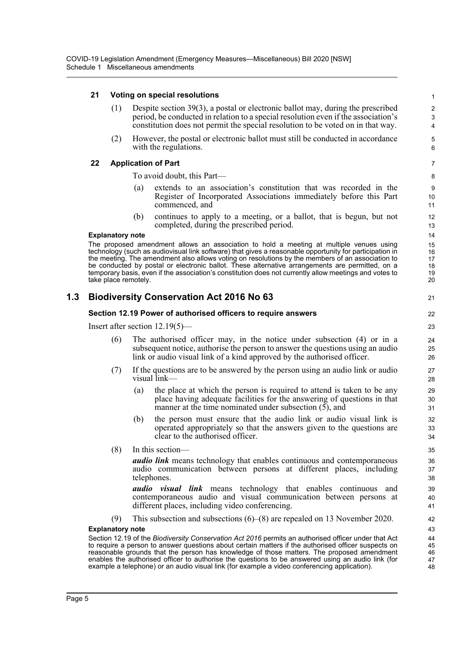# **21 Voting on special resolutions**

- (1) Despite section 39(3), a postal or electronic ballot may, during the prescribed period, be conducted in relation to a special resolution even if the association's constitution does not permit the special resolution to be voted on in that way.
- (2) However, the postal or electronic ballot must still be conducted in accordance with the regulations.

## **22 Application of Part**

To avoid doubt, this Part—

- (a) extends to an association's constitution that was recorded in the Register of Incorporated Associations immediately before this Part commenced, and
- (b) continues to apply to a meeting, or a ballot, that is begun, but not completed, during the prescribed period.

#### **Explanatory note**

The proposed amendment allows an association to hold a meeting at multiple venues using technology (such as audiovisual link software) that gives a reasonable opportunity for participation in the meeting. The amendment also allows voting on resolutions by the members of an association to be conducted by postal or electronic ballot. These alternative arrangements are permitted, on a temporary basis, even if the association's constitution does not currently allow meetings and votes to take place remotely.

# **1.3 Biodiversity Conservation Act 2016 No 63**

## **Section 12.19 Power of authorised officers to require answers**

Insert after section 12.19(5)—

- (6) The authorised officer may, in the notice under subsection (4) or in a subsequent notice, authorise the person to answer the questions using an audio link or audio visual link of a kind approved by the authorised officer.
- (7) If the questions are to be answered by the person using an audio link or audio visual link—
	- (a) the place at which the person is required to attend is taken to be any place having adequate facilities for the answering of questions in that manner at the time nominated under subsection (5), and
	- (b) the person must ensure that the audio link or audio visual link is operated appropriately so that the answers given to the questions are clear to the authorised officer.
- (8) In this section—

*audio link* means technology that enables continuous and contemporaneous audio communication between persons at different places, including telephones.

*audio visual link* means technology that enables continuous and contemporaneous audio and visual communication between persons at different places, including video conferencing.

(9) This subsection and subsections (6)–(8) are repealed on 13 November 2020.

#### **Explanatory note**

Section 12.19 of the *Biodiversity Conservation Act 2016* permits an authorised officer under that Act to require a person to answer questions about certain matters if the authorised officer suspects on reasonable grounds that the person has knowledge of those matters. The proposed amendment enables the authorised officer to authorise the questions to be answered using an audio link (for example a telephone) or an audio visual link (for example a video conferencing application).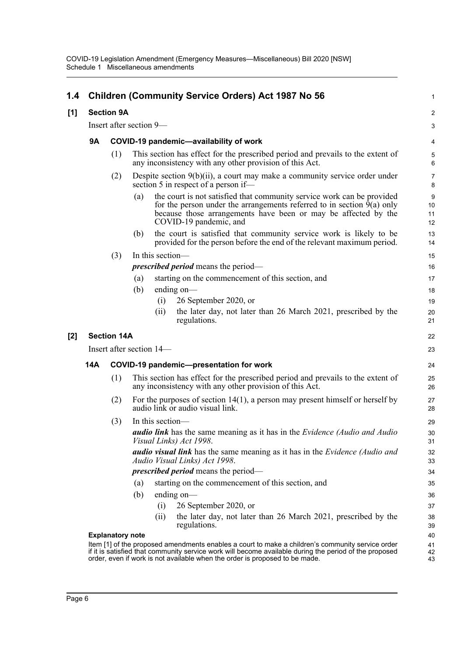| 1.4   |                   |                         | <b>Children (Community Service Orders) Act 1987 No 56</b>                                                                                                                                                                                                                                 | $\mathbf{1}$            |  |  |  |  |
|-------|-------------------|-------------------------|-------------------------------------------------------------------------------------------------------------------------------------------------------------------------------------------------------------------------------------------------------------------------------------------|-------------------------|--|--|--|--|
| [1]   | <b>Section 9A</b> |                         |                                                                                                                                                                                                                                                                                           |                         |  |  |  |  |
|       |                   | Insert after section 9- |                                                                                                                                                                                                                                                                                           |                         |  |  |  |  |
|       | <b>9A</b>         |                         | COVID-19 pandemic-availability of work                                                                                                                                                                                                                                                    | 4                       |  |  |  |  |
|       |                   | (1)                     | This section has effect for the prescribed period and prevails to the extent of<br>any inconsistency with any other provision of this Act.                                                                                                                                                | 5<br>$6\phantom{1}6$    |  |  |  |  |
|       |                   | (2)                     | Despite section 9(b)(ii), a court may make a community service order under<br>section 5 in respect of a person if—                                                                                                                                                                        | $\overline{7}$<br>8     |  |  |  |  |
|       |                   |                         | the court is not satisfied that community service work can be provided<br>(a)<br>for the person under the arrangements referred to in section $9(a)$ only<br>because those arrangements have been or may be affected by the<br>COVID-19 pandemic, and                                     | $9\,$<br>10<br>11<br>12 |  |  |  |  |
|       |                   |                         | the court is satisfied that community service work is likely to be<br>(b)<br>provided for the person before the end of the relevant maximum period.                                                                                                                                       | 13<br>14                |  |  |  |  |
|       |                   | (3)                     | In this section-                                                                                                                                                                                                                                                                          | 15                      |  |  |  |  |
|       |                   |                         | <i>prescribed period</i> means the period—                                                                                                                                                                                                                                                | 16                      |  |  |  |  |
|       |                   |                         | starting on the commencement of this section, and<br>(a)                                                                                                                                                                                                                                  | 17                      |  |  |  |  |
|       |                   |                         | (b)<br>ending on—                                                                                                                                                                                                                                                                         | 18                      |  |  |  |  |
|       |                   |                         | 26 September 2020, or<br>(i)                                                                                                                                                                                                                                                              | 19                      |  |  |  |  |
|       |                   |                         | the later day, not later than 26 March 2021, prescribed by the<br>(ii)<br>regulations.                                                                                                                                                                                                    | 20<br>21                |  |  |  |  |
| $[2]$ |                   | <b>Section 14A</b>      |                                                                                                                                                                                                                                                                                           | 22                      |  |  |  |  |
|       |                   |                         | Insert after section 14—                                                                                                                                                                                                                                                                  | 23                      |  |  |  |  |
|       | 14A               |                         | <b>COVID-19 pandemic-presentation for work</b>                                                                                                                                                                                                                                            | 24                      |  |  |  |  |
|       |                   | (1)                     | This section has effect for the prescribed period and prevails to the extent of<br>any inconsistency with any other provision of this Act.                                                                                                                                                | 25<br>26                |  |  |  |  |
|       |                   | (2)                     | For the purposes of section $14(1)$ , a person may present himself or herself by<br>audio link or audio visual link.                                                                                                                                                                      | 27<br>28                |  |  |  |  |
|       |                   | (3)                     | In this section-                                                                                                                                                                                                                                                                          | 29                      |  |  |  |  |
|       |                   |                         | audio link has the same meaning as it has in the Evidence (Audio and Audio<br>Visual Links) Act 1998.                                                                                                                                                                                     | 30<br>31                |  |  |  |  |
|       |                   |                         | <b><i>audio visual link</i></b> has the same meaning as it has in the <i>Evidence (Audio and</i><br>Audio Visual Links) Act 1998.                                                                                                                                                         | 32<br>33                |  |  |  |  |
|       |                   |                         | <i>prescribed period</i> means the period—                                                                                                                                                                                                                                                | 34                      |  |  |  |  |
|       |                   |                         | starting on the commencement of this section, and<br>(a)                                                                                                                                                                                                                                  | 35                      |  |  |  |  |
|       |                   |                         | (b)<br>ending on $-$                                                                                                                                                                                                                                                                      | 36                      |  |  |  |  |
|       |                   |                         | 26 September 2020, or<br>(i)                                                                                                                                                                                                                                                              | 37                      |  |  |  |  |
|       |                   |                         | the later day, not later than 26 March 2021, prescribed by the<br>(i)<br>regulations.                                                                                                                                                                                                     | 38<br>39                |  |  |  |  |
|       |                   | <b>Explanatory note</b> |                                                                                                                                                                                                                                                                                           | 40                      |  |  |  |  |
|       |                   |                         | Item [1] of the proposed amendments enables a court to make a children's community service order<br>if it is satisfied that community service work will become available during the period of the proposed<br>order, even if work is not available when the order is proposed to be made. | 41<br>42<br>43          |  |  |  |  |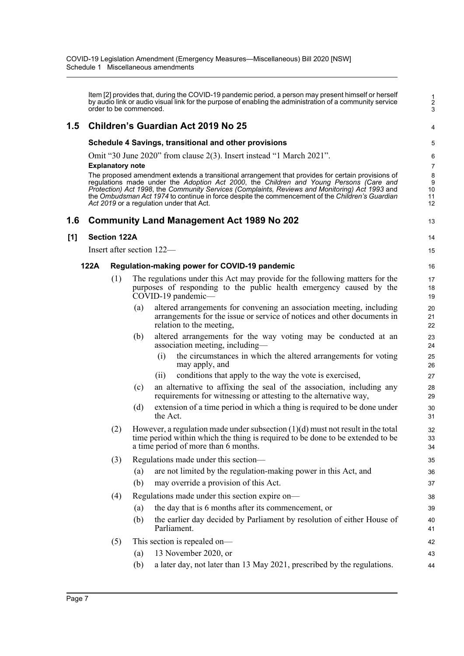Item [2] provides that, during the COVID-19 pandemic period, a person may present himself or herself by audio link or audio visual link for the purpose of enabling the administration of a community service order to be commenced.

1 2  $\mathbf{\overline{3}}$ 

4

13

14 15

# **1.5 Children's Guardian Act 2019 No 25**

## **Schedule 4 Savings, transitional and other provisions**

Omit "30 June 2020" from clause 2(3). Insert instead "1 March 2021".

#### **Explanatory note**

The proposed amendment extends a transitional arrangement that provides for certain provisions of regulations made under the *Adoption Act 2000*, the *Children and Young Persons (Care and Protection) Act 1998*, the *Community Services (Complaints, Reviews and Monitoring) Act 1993* and the *Ombudsman Act 1974* to continue in force despite the commencement of the *Children's Guardian Act 2019* or a regulation under that Act.

# **1.6 Community Land Management Act 1989 No 202**

## **[1] Section 122A**

Insert after section 122—

## **122A Regulation-making power for COVID-19 pandemic**

- (1) The regulations under this Act may provide for the following matters for the purposes of responding to the public health emergency caused by the COVID-19 pandemic-
	- (a) altered arrangements for convening an association meeting, including arrangements for the issue or service of notices and other documents in relation to the meeting,
	- (b) altered arrangements for the way voting may be conducted at an association meeting, including—
		- (i) the circumstances in which the altered arrangements for voting may apply, and
		- (ii) conditions that apply to the way the vote is exercised,
	- (c) an alternative to affixing the seal of the association, including any requirements for witnessing or attesting to the alternative way,
	- (d) extension of a time period in which a thing is required to be done under the Act.
- (2) However, a regulation made under subsection  $(1)(d)$  must not result in the total time period within which the thing is required to be done to be extended to be a time period of more than 6 months.

# (3) Regulations made under this section—

- (a) are not limited by the regulation-making power in this Act, and
- (b) may override a provision of this Act.
- (4) Regulations made under this section expire on—
	- (a) the day that is 6 months after its commencement, or
	- (b) the earlier day decided by Parliament by resolution of either House of Parliament.

## (5) This section is repealed on—

- (a) 13 November 2020, or
- (b) a later day, not later than 13 May 2021, prescribed by the regulations.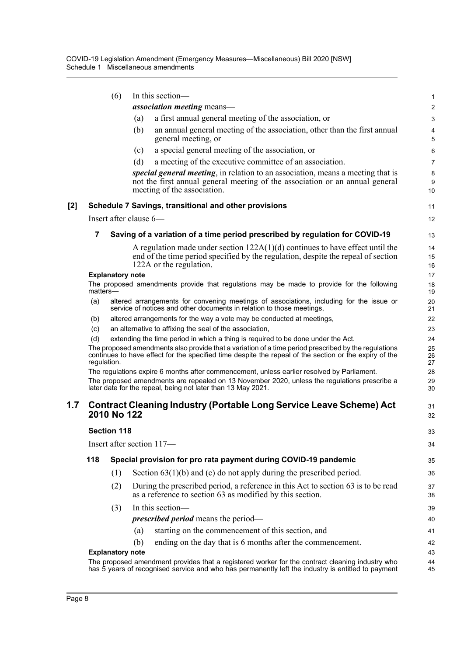|     |             | (6)                     | In this section-                                                                                                                                                                                               | 1              |
|-----|-------------|-------------------------|----------------------------------------------------------------------------------------------------------------------------------------------------------------------------------------------------------------|----------------|
|     |             |                         | <i>association meeting</i> means—                                                                                                                                                                              | $\overline{c}$ |
|     |             |                         | a first annual general meeting of the association, or<br>(a)                                                                                                                                                   | 3              |
|     |             |                         | an annual general meeting of the association, other than the first annual<br>(b)<br>general meeting, or                                                                                                        | 4<br>5         |
|     |             |                         | a special general meeting of the association, or<br>(c)                                                                                                                                                        | 6              |
|     |             |                         | (d)<br>a meeting of the executive committee of an association.                                                                                                                                                 | $\overline{7}$ |
|     |             |                         | special general meeting, in relation to an association, means a meeting that is<br>not the first annual general meeting of the association or an annual general                                                | 8<br>9         |
|     |             |                         | meeting of the association.                                                                                                                                                                                    | 10             |
| [2] |             |                         | Schedule 7 Savings, transitional and other provisions                                                                                                                                                          | 11             |
|     |             |                         | Insert after clause 6—                                                                                                                                                                                         | 12             |
|     | 7           |                         | Saving of a variation of a time period prescribed by regulation for COVID-19                                                                                                                                   | 13             |
|     |             |                         | A regulation made under section $122A(1)(d)$ continues to have effect until the                                                                                                                                | 14             |
|     |             |                         | end of the time period specified by the regulation, despite the repeal of section                                                                                                                              | 15             |
|     |             |                         | 122A or the regulation.                                                                                                                                                                                        | 16             |
|     |             | <b>Explanatory note</b> | The proposed amendments provide that regulations may be made to provide for the following                                                                                                                      | 17<br>18       |
|     | matters-    |                         |                                                                                                                                                                                                                | 19             |
|     | (a)         |                         | altered arrangements for convening meetings of associations, including for the issue or<br>service of notices and other documents in relation to those meetings,                                               | 20<br>21       |
|     | (b)         |                         | altered arrangements for the way a vote may be conducted at meetings,                                                                                                                                          | 22             |
|     | (c)         |                         | an alternative to affixing the seal of the association,                                                                                                                                                        | 23             |
|     | (d)         |                         | extending the time period in which a thing is required to be done under the Act.                                                                                                                               | 24             |
|     | regulation. |                         | The proposed amendments also provide that a variation of a time period prescribed by the regulations<br>continues to have effect for the specified time despite the repeal of the section or the expiry of the | 25<br>26<br>27 |
|     |             |                         | The regulations expire 6 months after commencement, unless earlier resolved by Parliament.                                                                                                                     | 28             |
|     |             |                         | The proposed amendments are repealed on 13 November 2020, unless the regulations prescribe a<br>later date for the repeal, being not later than 13 May 2021.                                                   | 29<br>30       |
| 1.7 |             | 2010 No 122             | <b>Contract Cleaning Industry (Portable Long Service Leave Scheme) Act</b>                                                                                                                                     | 31<br>32       |
|     |             |                         |                                                                                                                                                                                                                |                |
|     |             | <b>Section 118</b>      |                                                                                                                                                                                                                | 33             |
|     |             |                         | Insert after section 117-                                                                                                                                                                                      | 34             |
|     | 118         |                         | Special provision for pro rata payment during COVID-19 pandemic                                                                                                                                                | 35             |
|     |             | (1)                     | Section $63(1)(b)$ and (c) do not apply during the prescribed period.                                                                                                                                          | 36             |
|     |             | (2)                     | During the prescribed period, a reference in this Act to section 63 is to be read<br>as a reference to section 63 as modified by this section.                                                                 | 37<br>38       |
|     |             | (3)                     | In this section-                                                                                                                                                                                               | 39             |
|     |             |                         | <i>prescribed period</i> means the period—                                                                                                                                                                     | 40             |
|     |             |                         | starting on the commencement of this section, and<br>(a)                                                                                                                                                       | 41             |
|     |             |                         | ending on the day that is 6 months after the commencement.<br>(b)                                                                                                                                              | 42             |
|     |             | <b>Explanatory note</b> |                                                                                                                                                                                                                | 43             |
|     |             |                         | The proposed amendment provides that a registered worker for the contract cleaning industry who<br>has 5 years of recognised service and who has permanently left the industry is entitled to payment          | 44<br>45       |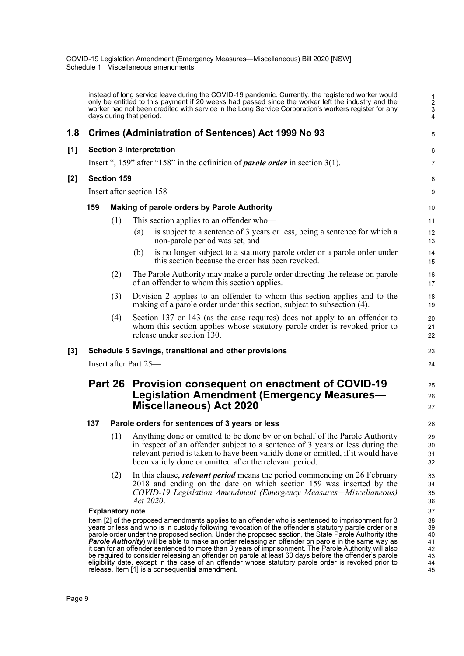instead of long service leave during the COVID-19 pandemic. Currently, the registered worker would only be entitled to this payment if 20 weeks had passed since the worker left the industry and the worker had not been credited with service in the Long Service Corporation's workers register for any days during that period.

5

23 24

25 26 27

# **1.8 Crimes (Administration of Sentences) Act 1999 No 93**

## **[1] Section 3 Interpretation**

Insert ", 159" after "158" in the definition of *parole order* in section 3(1).

## **[2] Section 159**

Insert after section 158—

## **159 Making of parole orders by Parole Authority**

- (1) This section applies to an offender who—
	- (a) is subject to a sentence of 3 years or less, being a sentence for which a non-parole period was set, and
	- (b) is no longer subject to a statutory parole order or a parole order under this section because the order has been revoked.
- (2) The Parole Authority may make a parole order directing the release on parole of an offender to whom this section applies.
- (3) Division 2 applies to an offender to whom this section applies and to the making of a parole order under this section, subject to subsection (4).
- (4) Section 137 or 143 (as the case requires) does not apply to an offender to whom this section applies whose statutory parole order is revoked prior to release under section 130.

# **[3] Schedule 5 Savings, transitional and other provisions**

Insert after Part 25—

# **Part 26 Provision consequent on enactment of COVID-19 Legislation Amendment (Emergency Measures— Miscellaneous) Act 2020**

## **137 Parole orders for sentences of 3 years or less**

- (1) Anything done or omitted to be done by or on behalf of the Parole Authority in respect of an offender subject to a sentence of 3 years or less during the relevant period is taken to have been validly done or omitted, if it would have been validly done or omitted after the relevant period.
- (2) In this clause, *relevant period* means the period commencing on 26 February 2018 and ending on the date on which section 159 was inserted by the *COVID-19 Legislation Amendment (Emergency Measures—Miscellaneous) Act 2020*.

## **Explanatory note**

Item [2] of the proposed amendments applies to an offender who is sentenced to imprisonment for 3 years or less and who is in custody following revocation of the offender's statutory parole order or a parole order under the proposed section. Under the proposed section, the State Parole Authority (the *Parole Authority*) will be able to make an order releasing an offender on parole in the same way as it can for an offender sentenced to more than 3 years of imprisonment. The Parole Authority will also be required to consider releasing an offender on parole at least 60 days before the offender's parole eligibility date, except in the case of an offender whose statutory parole order is revoked prior to release. Item [1] is a consequential amendment.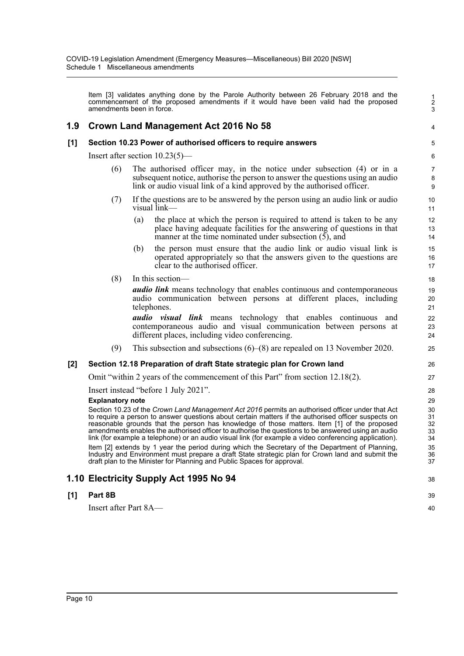Item [3] validates anything done by the Parole Authority between 26 February 2018 and the commencement of the proposed amendments if it would have been valid had the proposed amendments been in force.

# **1.9 Crown Land Management Act 2016 No 58**

## **[1] Section 10.23 Power of authorised officers to require answers**

Insert after section 10.23(5)—

- (6) The authorised officer may, in the notice under subsection (4) or in a subsequent notice, authorise the person to answer the questions using an audio link or audio visual link of a kind approved by the authorised officer.
- (7) If the questions are to be answered by the person using an audio link or audio visual link—
	- (a) the place at which the person is required to attend is taken to be any place having adequate facilities for the answering of questions in that manner at the time nominated under subsection (5), and
	- (b) the person must ensure that the audio link or audio visual link is operated appropriately so that the answers given to the questions are clear to the authorised officer.
- (8) In this section—

*audio link* means technology that enables continuous and contemporaneous audio communication between persons at different places, including telephones.

*audio visual link* means technology that enables continuous and contemporaneous audio and visual communication between persons at different places, including video conferencing.

(9) This subsection and subsections (6)–(8) are repealed on 13 November 2020.

# **[2] Section 12.18 Preparation of draft State strategic plan for Crown land**

Omit "within 2 years of the commencement of this Part" from section 12.18(2).

Insert instead "before 1 July 2021".

#### **Explanatory note**

Section 10.23 of the *Crown Land Management Act 2016* permits an authorised officer under that Act to require a person to answer questions about certain matters if the authorised officer suspects on reasonable grounds that the person has knowledge of those matters. Item [1] of the proposed amendments enables the authorised officer to authorise the questions to be answered using an audio link (for example a telephone) or an audio visual link (for example a video conferencing application). Item [2] extends by 1 year the period during which the Secretary of the Department of Planning, Industry and Environment must prepare a draft State strategic plan for Crown land and submit the draft plan to the Minister for Planning and Public Spaces for approval.

# **1.10 Electricity Supply Act 1995 No 94**

# **[1] Part 8B**

Insert after Part 8A—

39 40

38

1 2  $\mathbf{\overline{3}}$ 

4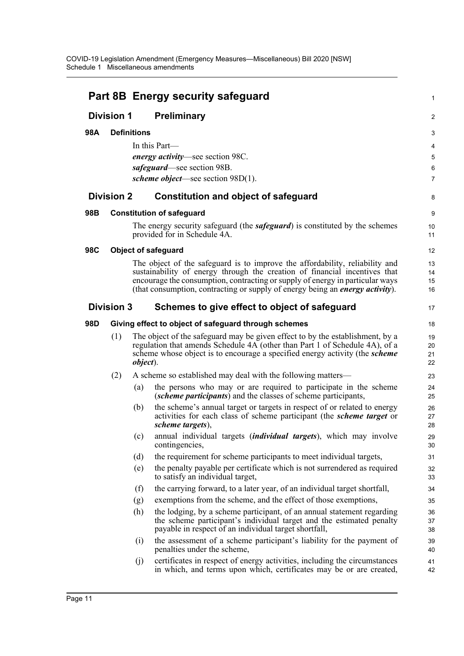|            |                   |                    | <b>Part 8B Energy security safeguard</b>                                                                                                                                                                                                    | 1                    |
|------------|-------------------|--------------------|---------------------------------------------------------------------------------------------------------------------------------------------------------------------------------------------------------------------------------------------|----------------------|
|            | <b>Division 1</b> |                    | <b>Preliminary</b>                                                                                                                                                                                                                          | $\overline{2}$       |
| 98A        |                   | <b>Definitions</b> |                                                                                                                                                                                                                                             | 3                    |
|            |                   |                    | In this Part-                                                                                                                                                                                                                               | 4                    |
|            |                   |                    | energy activity—see section 98C.                                                                                                                                                                                                            | 5                    |
|            |                   |                    | safeguard—see section 98B.                                                                                                                                                                                                                  | 6                    |
|            |                   |                    | <i>scheme object</i> —see section $98D(1)$ .                                                                                                                                                                                                | $\overline{7}$       |
|            | <b>Division 2</b> |                    | <b>Constitution and object of safeguard</b>                                                                                                                                                                                                 | 8                    |
| 98B        |                   |                    | <b>Constitution of safeguard</b>                                                                                                                                                                                                            | 9                    |
|            |                   |                    | The energy security safeguard (the <i>safeguard</i> ) is constituted by the schemes<br>provided for in Schedule 4A.                                                                                                                         | 10<br>11             |
| <b>98C</b> |                   |                    | <b>Object of safeguard</b>                                                                                                                                                                                                                  | $12 \overline{ }$    |
|            |                   |                    | The object of the safeguard is to improve the affordability, reliability and                                                                                                                                                                | 13                   |
|            |                   |                    | sustainability of energy through the creation of financial incentives that                                                                                                                                                                  | 14                   |
|            |                   |                    | encourage the consumption, contracting or supply of energy in particular ways<br>(that consumption, contracting or supply of energy being an <i>energy activity</i> ).                                                                      | 15<br>16             |
|            | <b>Division 3</b> |                    | Schemes to give effect to object of safeguard                                                                                                                                                                                               | 17                   |
| 98D        |                   |                    | Giving effect to object of safeguard through schemes                                                                                                                                                                                        | 18                   |
|            | (1)               | <i>object</i> ).   | The object of the safeguard may be given effect to by the establishment, by a<br>regulation that amends Schedule 4A (other than Part 1 of Schedule 4A), of a<br>scheme whose object is to encourage a specified energy activity (the scheme | 19<br>20<br>21<br>22 |
|            | (2)               |                    | A scheme so established may deal with the following matters—                                                                                                                                                                                | 23                   |
|            |                   | (a)                | the persons who may or are required to participate in the scheme<br><i>(scheme participants)</i> and the classes of scheme participants,                                                                                                    | 24<br>25             |
|            |                   | (b)                | the scheme's annual target or targets in respect of or related to energy<br>activities for each class of scheme participant (the <i>scheme target</i> or<br>scheme targets),                                                                | 26<br>27<br>28       |
|            |                   | (c)                | annual individual targets (individual targets), which may involve<br>contingencies,                                                                                                                                                         | 29<br>30             |
|            |                   | (d)                | the requirement for scheme participants to meet individual targets,                                                                                                                                                                         | 31                   |
|            |                   | (e)                | the penalty payable per certificate which is not surrendered as required<br>to satisfy an individual target,                                                                                                                                | 32<br>33             |
|            |                   | (f)                | the carrying forward, to a later year, of an individual target shortfall,                                                                                                                                                                   | 34                   |
|            |                   | (g)                | exemptions from the scheme, and the effect of those exemptions,                                                                                                                                                                             | 35                   |
|            |                   | (h)                | the lodging, by a scheme participant, of an annual statement regarding<br>the scheme participant's individual target and the estimated penalty<br>payable in respect of an individual target shortfall,                                     | 36<br>37<br>38       |
|            |                   | (i)                | the assessment of a scheme participant's liability for the payment of<br>penalties under the scheme,                                                                                                                                        | 39<br>40             |
|            |                   | (j)                | certificates in respect of energy activities, including the circumstances<br>in which, and terms upon which, certificates may be or are created,                                                                                            | 41<br>42             |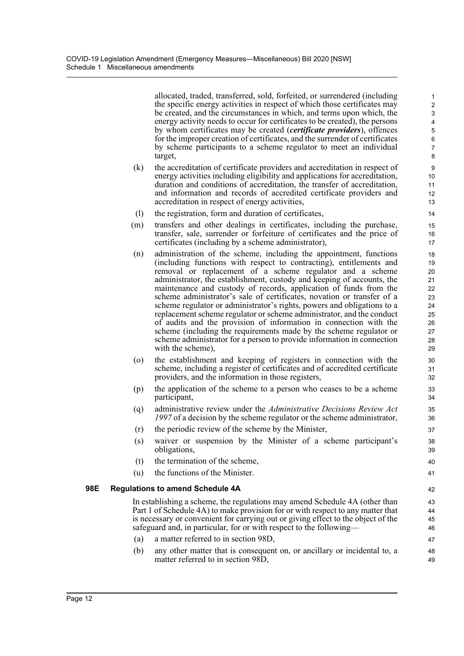allocated, traded, transferred, sold, forfeited, or surrendered (including the specific energy activities in respect of which those certificates may be created, and the circumstances in which, and terms upon which, the energy activity needs to occur for certificates to be created), the persons by whom certificates may be created (*certificate providers*), offences for the improper creation of certificates, and the surrender of certificates by scheme participants to a scheme regulator to meet an individual target,

- (k) the accreditation of certificate providers and accreditation in respect of energy activities including eligibility and applications for accreditation, duration and conditions of accreditation, the transfer of accreditation, and information and records of accredited certificate providers and accreditation in respect of energy activities,
- (l) the registration, form and duration of certificates,
- (m) transfers and other dealings in certificates, including the purchase, transfer, sale, surrender or forfeiture of certificates and the price of certificates (including by a scheme administrator),
- (n) administration of the scheme, including the appointment, functions (including functions with respect to contracting), entitlements and removal or replacement of a scheme regulator and a scheme administrator, the establishment, custody and keeping of accounts, the maintenance and custody of records, application of funds from the scheme administrator's sale of certificates, novation or transfer of a scheme regulator or administrator's rights, powers and obligations to a replacement scheme regulator or scheme administrator, and the conduct of audits and the provision of information in connection with the scheme (including the requirements made by the scheme regulator or scheme administrator for a person to provide information in connection with the scheme),
- (o) the establishment and keeping of registers in connection with the scheme, including a register of certificates and of accredited certificate providers, and the information in those registers,
- (p) the application of the scheme to a person who ceases to be a scheme participant,
- (q) administrative review under the *Administrative Decisions Review Act 1997* of a decision by the scheme regulator or the scheme administrator,
- (r) the periodic review of the scheme by the Minister,
- (s) waiver or suspension by the Minister of a scheme participant's obligations,
- (t) the termination of the scheme,
- (u) the functions of the Minister.

## **98E Regulations to amend Schedule 4A**

In establishing a scheme, the regulations may amend Schedule 4A (other than Part 1 of Schedule 4A) to make provision for or with respect to any matter that is necessary or convenient for carrying out or giving effect to the object of the safeguard and, in particular, for or with respect to the following—

- (a) a matter referred to in section 98D,
- (b) any other matter that is consequent on, or ancillary or incidental to, a matter referred to in section 98D,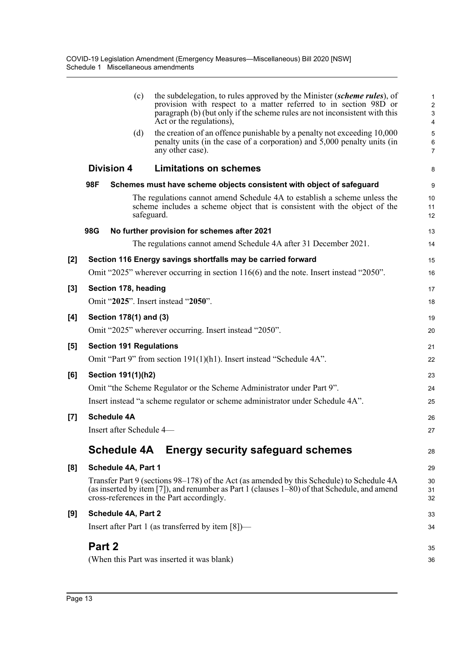|                   |        | (c)                            | the subdelegation, to rules approved by the Minister (scheme rules), of<br>provision with respect to a matter referred to in section 98D or<br>paragraph (b) (but only if the scheme rules are not inconsistent with this<br>Act or the regulations), | 1<br>$\overline{\mathbf{c}}$<br>3<br>4 |
|-------------------|--------|--------------------------------|-------------------------------------------------------------------------------------------------------------------------------------------------------------------------------------------------------------------------------------------------------|----------------------------------------|
|                   |        | (d)                            | the creation of an offence punishable by a penalty not exceeding 10,000<br>penalty units (in the case of a corporation) and 5,000 penalty units (in<br>any other case).                                                                               | 5<br>6<br>$\overline{7}$               |
|                   |        | <b>Division 4</b>              | <b>Limitations on schemes</b>                                                                                                                                                                                                                         | 8                                      |
|                   | 98F    |                                | Schemes must have scheme objects consistent with object of safeguard                                                                                                                                                                                  | 9                                      |
|                   |        |                                | The regulations cannot amend Schedule 4A to establish a scheme unless the<br>scheme includes a scheme object that is consistent with the object of the<br>safeguard.                                                                                  | 10<br>11<br>12                         |
|                   | 98G    |                                | No further provision for schemes after 2021                                                                                                                                                                                                           | 13                                     |
|                   |        |                                | The regulations cannot amend Schedule 4A after 31 December 2021.                                                                                                                                                                                      | 14                                     |
| [2]               |        |                                | Section 116 Energy savings shortfalls may be carried forward                                                                                                                                                                                          | 15                                     |
|                   |        |                                | Omit "2025" wherever occurring in section $116(6)$ and the note. Insert instead "2050".                                                                                                                                                               | 16                                     |
| $\left[3\right]$  |        | Section 178, heading           |                                                                                                                                                                                                                                                       | 17                                     |
|                   |        |                                | Omit "2025". Insert instead "2050".                                                                                                                                                                                                                   | 18                                     |
| [4]               |        | Section 178(1) and (3)         |                                                                                                                                                                                                                                                       | 19                                     |
|                   |        |                                | Omit "2025" wherever occurring. Insert instead "2050".                                                                                                                                                                                                | 20                                     |
| [5]               |        | <b>Section 191 Regulations</b> |                                                                                                                                                                                                                                                       | 21                                     |
|                   |        |                                | Omit "Part 9" from section 191(1)(h1). Insert instead "Schedule 4A".                                                                                                                                                                                  | 22                                     |
| [6]               |        | Section 191(1)(h2)             |                                                                                                                                                                                                                                                       | 23                                     |
|                   |        |                                | Omit "the Scheme Regulator or the Scheme Administrator under Part 9".                                                                                                                                                                                 | 24                                     |
|                   |        |                                | Insert instead "a scheme regulator or scheme administrator under Schedule 4A".                                                                                                                                                                        | 25                                     |
| $\left[ 7\right]$ |        | <b>Schedule 4A</b>             |                                                                                                                                                                                                                                                       | 26                                     |
|                   |        | Insert after Schedule 4-       |                                                                                                                                                                                                                                                       | 27                                     |
|                   |        | <b>Schedule 4A</b>             | <b>Energy security safeguard schemes</b>                                                                                                                                                                                                              | 28                                     |
| [8]               |        | Schedule 4A, Part 1            |                                                                                                                                                                                                                                                       | 29                                     |
|                   |        |                                | Transfer Part 9 (sections 98–178) of the Act (as amended by this Schedule) to Schedule 4A<br>(as inserted by item [7]), and renumber as Part 1 (clauses 1–80) of that Schedule, and amend<br>cross-references in the Part accordingly.                | 30<br>31<br>32                         |
| [9]               |        | Schedule 4A, Part 2            |                                                                                                                                                                                                                                                       | 33                                     |
|                   |        |                                | Insert after Part 1 (as transferred by item $[8]$ )—                                                                                                                                                                                                  | 34                                     |
|                   | Part 2 |                                |                                                                                                                                                                                                                                                       | 35                                     |
|                   |        |                                | (When this Part was inserted it was blank)                                                                                                                                                                                                            | 36                                     |
|                   |        |                                |                                                                                                                                                                                                                                                       |                                        |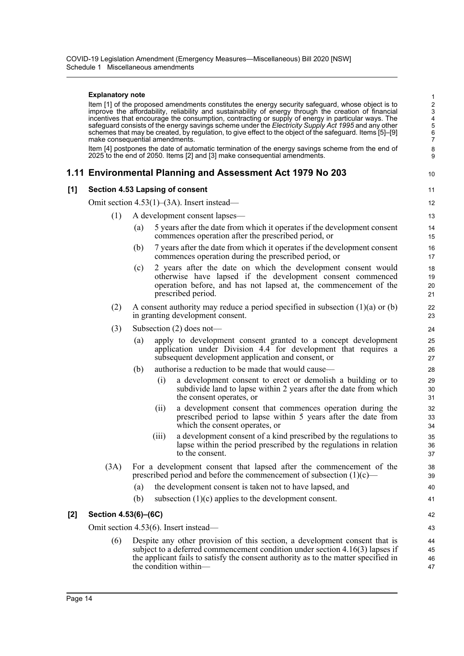#### **Explanatory note**

Item [1] of the proposed amendments constitutes the energy security safeguard, whose object is to improve the affordability, reliability and sustainability of energy through the creation of financial incentives that encourage the consumption, contracting or supply of energy in particular ways. The safeguard consists of the energy savings scheme under the *Electricity Supply Act 1995* and any other schemes that may be created, by regulation, to give effect to the object of the safeguard. Items [5]–[9] make consequential amendments.

10

42 43

Item [4] postpones the date of automatic termination of the energy savings scheme from the end of 2025 to the end of 2050. Items [2] and [3] make consequential amendments.

# **1.11 Environmental Planning and Assessment Act 1979 No 203**

# **[1] Section 4.53 Lapsing of consent**

Omit section 4.53(1)–(3A). Insert instead—

- (1) A development consent lapses—
	- (a) 5 years after the date from which it operates if the development consent commences operation after the prescribed period, or
	- (b) 7 years after the date from which it operates if the development consent commences operation during the prescribed period, or
	- (c) 2 years after the date on which the development consent would otherwise have lapsed if the development consent commenced operation before, and has not lapsed at, the commencement of the prescribed period.
- (2) A consent authority may reduce a period specified in subsection  $(1)(a)$  or  $(b)$ in granting development consent.
- (3) Subsection (2) does not—
	- (a) apply to development consent granted to a concept development application under Division 4.4 for development that requires a subsequent development application and consent, or
	- (b) authorise a reduction to be made that would cause—
		- (i) a development consent to erect or demolish a building or to subdivide land to lapse within 2 years after the date from which the consent operates, or
		- (ii) a development consent that commences operation during the prescribed period to lapse within 5 years after the date from which the consent operates, or
		- (iii) a development consent of a kind prescribed by the regulations to lapse within the period prescribed by the regulations in relation to the consent.
- (3A) For a development consent that lapsed after the commencement of the prescribed period and before the commencement of subsection  $(1)(c)$ 
	- (a) the development consent is taken not to have lapsed, and
	- (b) subsection (1)(c) applies to the development consent.

## **[2] Section 4.53(6)–(6C)**

Omit section 4.53(6). Insert instead—

(6) Despite any other provision of this section, a development consent that is subject to a deferred commencement condition under section 4.16(3) lapses if the applicant fails to satisfy the consent authority as to the matter specified in the condition within— 44 45 46 47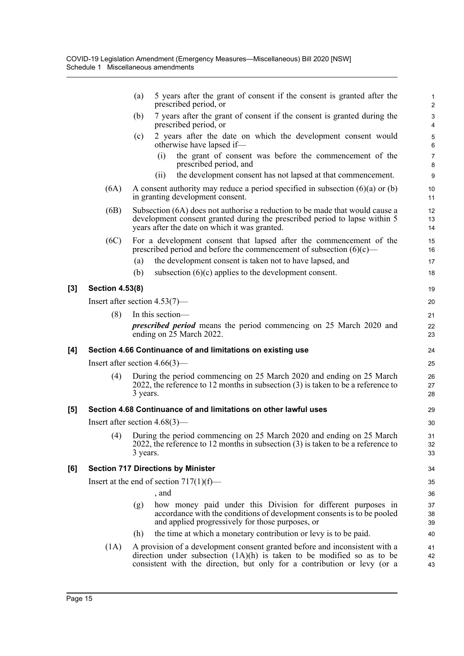| 7 years after the grant of consent if the consent is granted during the<br>$\ensuremath{\mathsf{3}}$<br>$\overline{4}$<br>2 years after the date on which the development consent would<br>5                                                          |
|-------------------------------------------------------------------------------------------------------------------------------------------------------------------------------------------------------------------------------------------------------|
|                                                                                                                                                                                                                                                       |
| 6                                                                                                                                                                                                                                                     |
| the grant of consent was before the commencement of the<br>$\boldsymbol{7}$<br>8                                                                                                                                                                      |
| the development consent has not lapsed at that commencement.<br>$\boldsymbol{9}$                                                                                                                                                                      |
| A consent authority may reduce a period specified in subsection $(6)(a)$ or $(b)$<br>10<br>11                                                                                                                                                         |
| Subsection (6A) does not authorise a reduction to be made that would cause a<br>12<br>development consent granted during the prescribed period to lapse within 5<br>13<br>14                                                                          |
| For a development consent that lapsed after the commencement of the<br>15<br>prescribed period and before the commencement of subsection $(6)(c)$ —<br>16                                                                                             |
| the development consent is taken not to have lapsed, and<br>17                                                                                                                                                                                        |
| subsection $(6)(c)$ applies to the development consent.<br>18                                                                                                                                                                                         |
| 19                                                                                                                                                                                                                                                    |
| 20                                                                                                                                                                                                                                                    |
| 21                                                                                                                                                                                                                                                    |
| <i>prescribed period</i> means the period commencing on 25 March 2020 and<br>22<br>23                                                                                                                                                                 |
| Section 4.66 Continuance of and limitations on existing use<br>24                                                                                                                                                                                     |
| 25                                                                                                                                                                                                                                                    |
| During the period commencing on 25 March 2020 and ending on 25 March<br>26<br>2022, the reference to 12 months in subsection $(3)$ is taken to be a reference to<br>27<br>28                                                                          |
| Section 4.68 Continuance of and limitations on other lawful uses<br>29                                                                                                                                                                                |
| 30                                                                                                                                                                                                                                                    |
| During the period commencing on 25 March 2020 and ending on 25 March<br>31<br>2022, the reference to 12 months in subsection $(3)$ is taken to be a reference to<br>32<br>33                                                                          |
| 34                                                                                                                                                                                                                                                    |
| 35                                                                                                                                                                                                                                                    |
| 36                                                                                                                                                                                                                                                    |
| how money paid under this Division for different purposes in<br>37<br>accordance with the conditions of development consents is to be pooled<br>38<br>and applied progressively for those purposes, or<br>39                                          |
| the time at which a monetary contribution or levy is to be paid.<br>40                                                                                                                                                                                |
| A provision of a development consent granted before and inconsistent with a<br>41<br>direction under subsection $(1A)(h)$ is taken to be modified so as to be<br>42<br>consistent with the direction, but only for a contribution or levy (or a<br>43 |
|                                                                                                                                                                                                                                                       |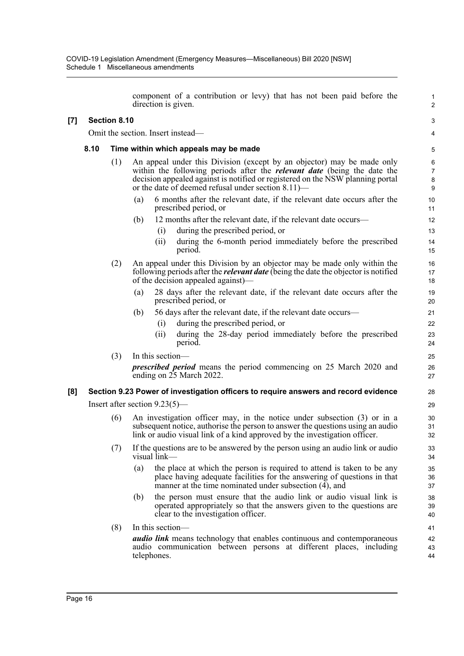component of a contribution or levy) that has not been paid before the direction is given.

1 2

3 4

# **[7] Section 8.10**

Omit the section. Insert instead—

# **8.10 Time within which appeals may be made**

- (1) An appeal under this Division (except by an objector) may be made only within the following periods after the *relevant date* (being the date the decision appealed against is notified or registered on the NSW planning portal or the date of deemed refusal under section 8.11)—
	- (a) 6 months after the relevant date, if the relevant date occurs after the prescribed period, or
	- (b) 12 months after the relevant date, if the relevant date occurs—
		- (i) during the prescribed period, or
		- (ii) during the 6-month period immediately before the prescribed period.
- (2) An appeal under this Division by an objector may be made only within the following periods after the *relevant date* (being the date the objector is notified of the decision appealed against)—
	- 28 days after the relevant date, if the relevant date occurs after the prescribed period, or
	- (b) 56 days after the relevant date, if the relevant date occurs—
		- (i) during the prescribed period, or
		- (ii) during the 28-day period immediately before the prescribed period.
- (3) In this section *prescribed period* means the period commencing on 25 March 2020 and ending on 25 March 2022.

# **[8] Section 9.23 Power of investigation officers to require answers and record evidence**

Insert after section 9.23(5)—

- (6) An investigation officer may, in the notice under subsection (3) or in a subsequent notice, authorise the person to answer the questions using an audio link or audio visual link of a kind approved by the investigation officer.
- (7) If the questions are to be answered by the person using an audio link or audio visual link—
	- (a) the place at which the person is required to attend is taken to be any place having adequate facilities for the answering of questions in that manner at the time nominated under subsection (4), and
	- (b) the person must ensure that the audio link or audio visual link is operated appropriately so that the answers given to the questions are clear to the investigation officer.
- (8) In this section *audio link* means technology that enables continuous and contemporaneous audio communication between persons at different places, including telephones.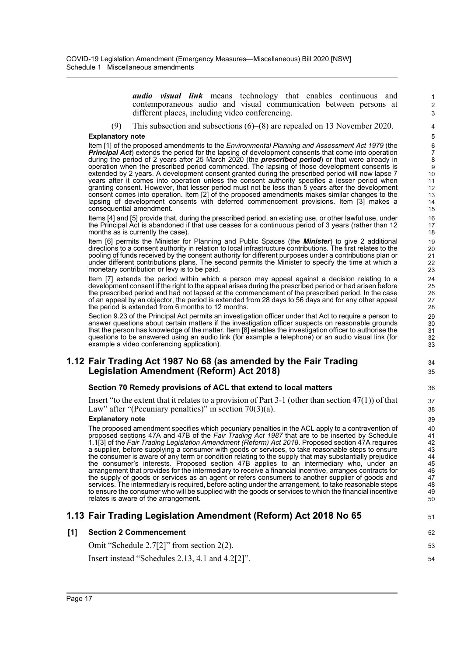*audio visual link* means technology that enables continuous and contemporaneous audio and visual communication between persons at different places, including video conferencing.

34 35

51

(9) This subsection and subsections (6)–(8) are repealed on 13 November 2020.

#### **Explanatory note**

Item [1] of the proposed amendments to the *Environmental Planning and Assessment Act 1979* (the *Principal Act*) extends the period for the lapsing of development consents that come into operation during the period of 2 years after 25 March 2020 (the *prescribed period*) or that were already in operation when the prescribed period commenced. The lapsing of those development consents is extended by 2 years. A development consent granted during the prescribed period will now lapse 7 years after it comes into operation unless the consent authority specifies a lesser period when granting consent. However, that lesser period must not be less than 5 years after the development consent comes into operation. Item [2] of the proposed amendments makes similar changes to the lapsing of development consents with deferred commencement provisions. Item [3] makes a consequential amendment.

Items [4] and [5] provide that, during the prescribed period, an existing use, or other lawful use, under the Principal Act is abandoned if that use ceases for a continuous period of 3 years (rather than 12 months as is currently the case).

Item [6] permits the Minister for Planning and Public Spaces (the *Minister*) to give 2 additional directions to a consent authority in relation to local infrastructure contributions. The first relates to the pooling of funds received by the consent authority for different purposes under a contributions plan or under different contributions plans. The second permits the Minister to specify the time at which a monetary contribution or levy is to be paid.

Item [7] extends the period within which a person may appeal against a decision relating to a development consent if the right to the appeal arises during the prescribed period or had arisen before the prescribed period and had not lapsed at the commencement of the prescribed period. In the case of an appeal by an objector, the period is extended from 28 days to 56 days and for any other appeal the period is extended from 6 months to 12 months.

Section 9.23 of the Principal Act permits an investigation officer under that Act to require a person to answer questions about certain matters if the investigation officer suspects on reasonable grounds that the person has knowledge of the matter. Item [8] enables the investigation officer to authorise the questions to be answered using an audio link (for example a telephone) or an audio visual link (for example a video conferencing application).

# **1.12 Fair Trading Act 1987 No 68 (as amended by the Fair Trading Legislation Amendment (Reform) Act 2018)**

## **Section 70 Remedy provisions of ACL that extend to local matters**

Insert "to the extent that it relates to a provision of Part  $3-1$  (other than section  $47(1)$ ) of that Law" after "(Pecuniary penalties)" in section  $70(3)(a)$ .

#### **Explanatory note**

The proposed amendment specifies which pecuniary penalties in the ACL apply to a contravention of proposed sections 47A and 47B of the *Fair Trading Act 1987* that are to be inserted by Schedule 1.1[3] of the *Fair Trading Legislation Amendment (Reform) Act 2018*. Proposed section 47A requires a supplier, before supplying a consumer with goods or services, to take reasonable steps to ensure the consumer is aware of any term or condition relating to the supply that may substantially prejudice the consumer's interests. Proposed section 47B applies to an intermediary who, under an arrangement that provides for the intermediary to receive a financial incentive, arranges contracts for the supply of goods or services as an agent or refers consumers to another supplier of goods and services. The intermediary is required, before acting under the arrangement, to take reasonable steps to ensure the consumer who will be supplied with the goods or services to which the financial incentive relates is aware of the arrangement.

# **1.13 Fair Trading Legislation Amendment (Reform) Act 2018 No 65**

| [1] Section 2 Commencement                               | 52  |
|----------------------------------------------------------|-----|
| Omit "Schedule $2.7[2]$ " from section $2(2)$ .          | 53  |
| Insert instead "Schedules $2.13$ , $4.1$ and $4.2[2]$ ". | .54 |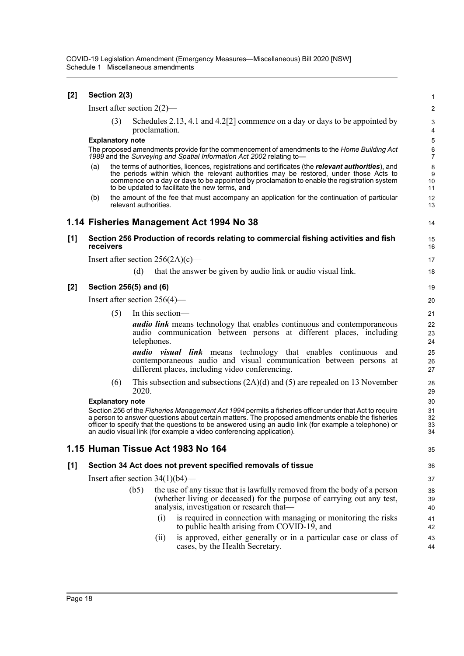| $[2]$ | Section 2(3)                                                                                                                                                        |                         |                       |                                    |                                                                                                                                                                                                                                                                                                                                                                                             |                                   |  |  |  |
|-------|---------------------------------------------------------------------------------------------------------------------------------------------------------------------|-------------------------|-----------------------|------------------------------------|---------------------------------------------------------------------------------------------------------------------------------------------------------------------------------------------------------------------------------------------------------------------------------------------------------------------------------------------------------------------------------------------|-----------------------------------|--|--|--|
|       |                                                                                                                                                                     |                         |                       | Insert after section $2(2)$ —      |                                                                                                                                                                                                                                                                                                                                                                                             | $\sqrt{2}$                        |  |  |  |
|       |                                                                                                                                                                     | (3)                     |                       | proclamation.                      | Schedules 2.13, 4.1 and 4.2[2] commence on a day or days to be appointed by                                                                                                                                                                                                                                                                                                                 | 3<br>4                            |  |  |  |
|       | <b>Explanatory note</b>                                                                                                                                             |                         |                       |                                    |                                                                                                                                                                                                                                                                                                                                                                                             |                                   |  |  |  |
|       | The proposed amendments provide for the commencement of amendments to the Home Building Act<br>1989 and the Surveying and Spatial Information Act 2002 relating to- |                         |                       |                                    |                                                                                                                                                                                                                                                                                                                                                                                             |                                   |  |  |  |
|       | (a)                                                                                                                                                                 |                         |                       |                                    | the terms of authorities, licences, registrations and certificates (the relevant authorities), and<br>the periods within which the relevant authorities may be restored, under those Acts to<br>commence on a day or days to be appointed by proclamation to enable the registration system<br>to be updated to facilitate the new terms, and                                               | 8<br>$\boldsymbol{9}$<br>10<br>11 |  |  |  |
|       | (b)                                                                                                                                                                 |                         | relevant authorities. |                                    | the amount of the fee that must accompany an application for the continuation of particular                                                                                                                                                                                                                                                                                                 | 12<br>13                          |  |  |  |
|       |                                                                                                                                                                     |                         |                       |                                    | 1.14 Fisheries Management Act 1994 No 38                                                                                                                                                                                                                                                                                                                                                    | 14                                |  |  |  |
| $[1]$ | receivers                                                                                                                                                           |                         |                       |                                    | Section 256 Production of records relating to commercial fishing activities and fish                                                                                                                                                                                                                                                                                                        | 15<br>16                          |  |  |  |
|       |                                                                                                                                                                     |                         |                       |                                    | Insert after section $256(2A)(c)$ —                                                                                                                                                                                                                                                                                                                                                         | 17                                |  |  |  |
|       |                                                                                                                                                                     |                         | (d)                   |                                    | that the answer be given by audio link or audio visual link.                                                                                                                                                                                                                                                                                                                                | 18                                |  |  |  |
| $[2]$ |                                                                                                                                                                     | Section 256(5) and (6)  |                       |                                    |                                                                                                                                                                                                                                                                                                                                                                                             | 19                                |  |  |  |
|       |                                                                                                                                                                     |                         |                       | Insert after section $256(4)$ —    |                                                                                                                                                                                                                                                                                                                                                                                             | 20                                |  |  |  |
|       |                                                                                                                                                                     | (5)                     |                       | In this section-                   |                                                                                                                                                                                                                                                                                                                                                                                             | 21                                |  |  |  |
|       |                                                                                                                                                                     |                         |                       | telephones.                        | <b><i>audio link</i></b> means technology that enables continuous and contemporaneous<br>audio communication between persons at different places, including                                                                                                                                                                                                                                 | 22<br>23<br>24                    |  |  |  |
|       |                                                                                                                                                                     |                         |                       |                                    | <b><i>audio visual link</i></b> means technology that enables continuous and<br>contemporaneous audio and visual communication between persons at<br>different places, including video conferencing.                                                                                                                                                                                        | 25<br>26<br>27                    |  |  |  |
|       |                                                                                                                                                                     | (6)                     | 2020.                 |                                    | This subsection and subsections $(2A)(d)$ and $(5)$ are repealed on 13 November                                                                                                                                                                                                                                                                                                             | 28<br>29                          |  |  |  |
|       |                                                                                                                                                                     | <b>Explanatory note</b> |                       |                                    |                                                                                                                                                                                                                                                                                                                                                                                             | 30                                |  |  |  |
|       |                                                                                                                                                                     |                         |                       |                                    | Section 256 of the Fisheries Management Act 1994 permits a fisheries officer under that Act to require<br>a person to answer questions about certain matters. The proposed amendments enable the fisheries<br>officer to specify that the questions to be answered using an audio link (for example a telephone) or<br>an audio visual link (for example a video conferencing application). | 31<br>32<br>33<br>34              |  |  |  |
|       |                                                                                                                                                                     |                         |                       |                                    | 1.15 Human Tissue Act 1983 No 164                                                                                                                                                                                                                                                                                                                                                           | 35                                |  |  |  |
| [1]   |                                                                                                                                                                     |                         |                       |                                    | Section 34 Act does not prevent specified removals of tissue                                                                                                                                                                                                                                                                                                                                | 36                                |  |  |  |
|       |                                                                                                                                                                     |                         |                       | Insert after section $34(1)(b4)$ — |                                                                                                                                                                                                                                                                                                                                                                                             | 37                                |  |  |  |
|       |                                                                                                                                                                     |                         | (b5)                  |                                    | the use of any tissue that is lawfully removed from the body of a person<br>(whether living or deceased) for the purpose of carrying out any test,<br>analysis, investigation or research that—                                                                                                                                                                                             | 38<br>39<br>40                    |  |  |  |
|       |                                                                                                                                                                     |                         |                       | (i)                                | is required in connection with managing or monitoring the risks<br>to public health arising from COVID-19, and                                                                                                                                                                                                                                                                              | 41<br>42                          |  |  |  |
|       |                                                                                                                                                                     |                         |                       | (ii)                               | is approved, either generally or in a particular case or class of<br>cases, by the Health Secretary.                                                                                                                                                                                                                                                                                        | 43<br>44                          |  |  |  |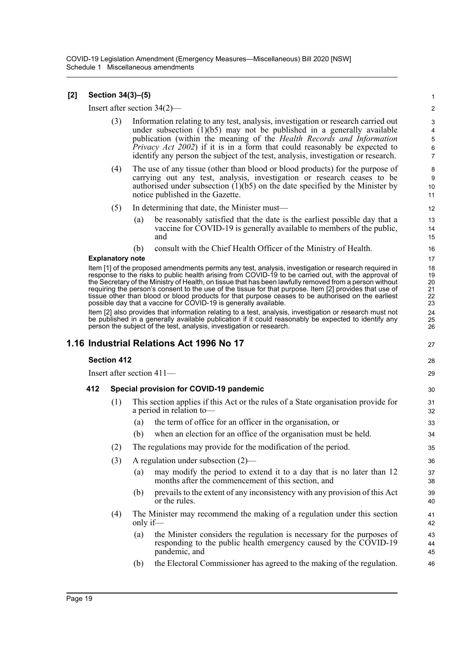COVID-19 Legislation Amendment (Emergency Measures—Miscellaneous) Bill 2020 [NSW] Schedule 1 Miscellaneous amendments

# **[2] Section 34(3)–(5)**

Insert after section 34(2)—

(3) Information relating to any test, analysis, investigation or research carried out under subsection  $(1)(b5)$  may not be published in a generally available publication (within the meaning of the *Health Records and Information Privacy Act 2002*) if it is in a form that could reasonably be expected to identify any person the subject of the test, analysis, investigation or research.

27

28 29

- (4) The use of any tissue (other than blood or blood products) for the purpose of carrying out any test, analysis, investigation or research ceases to be authorised under subsection  $(1)(b5)$  on the date specified by the Minister by notice published in the Gazette.
- (5) In determining that date, the Minister must—
	- (a) be reasonably satisfied that the date is the earliest possible day that a vaccine for COVID-19 is generally available to members of the public, and
	- (b) consult with the Chief Health Officer of the Ministry of Health.

## **Explanatory note**

Item [1] of the proposed amendments permits any test, analysis, investigation or research required in response to the risks to public health arising from COVID-19 to be carried out, with the approval of the Secretary of the Ministry of Health, on tissue that has been lawfully removed from a person without requiring the person's consent to the use of the tissue for that purpose. Item [2] provides that use of tissue other than blood or blood products for that purpose ceases to be authorised on the earliest possible day that a vaccine for COVID-19 is generally available.

Item [2] also provides that information relating to a test, analysis, investigation or research must not be published in a generally available publication if it could reasonably be expected to identify any person the subject of the test, analysis, investigation or research.

# **1.16 Industrial Relations Act 1996 No 17**

Insert after section 411—

## **412 Special provision for COVID-19 pandemic**

- (1) This section applies if this Act or the rules of a State organisation provide for a period in relation to—
	- (a) the term of office for an officer in the organisation, or
	- (b) when an election for an office of the organisation must be held.
- (2) The regulations may provide for the modification of the period.
- (3) A regulation under subsection (2)—
	- (a) may modify the period to extend it to a day that is no later than 12 months after the commencement of this section, and
	- (b) prevails to the extent of any inconsistency with any provision of this Act or the rules.
- (4) The Minister may recommend the making of a regulation under this section only if—
	- (a) the Minister considers the regulation is necessary for the purposes of responding to the public health emergency caused by the COVID-19 pandemic, and
	- (b) the Electoral Commissioner has agreed to the making of the regulation.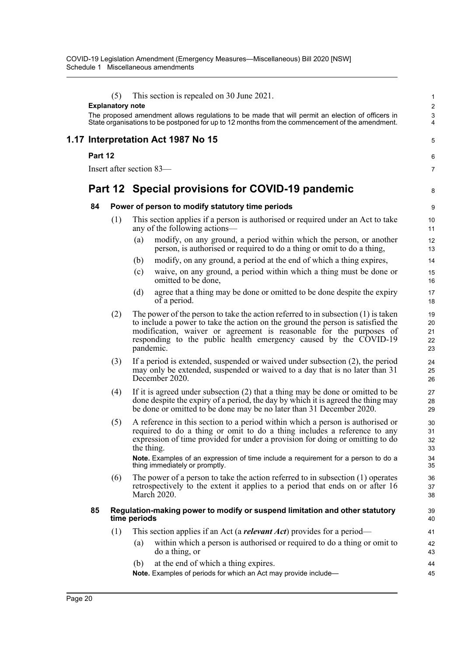|                                    | (5)<br><b>Explanatory note</b> | This section is repealed on 30 June 2021.                                                                                                                                                                                                                                                                                                                                         | $\mathbf{1}$<br>$\overline{c}$   |  |  |  |  |  |
|------------------------------------|--------------------------------|-----------------------------------------------------------------------------------------------------------------------------------------------------------------------------------------------------------------------------------------------------------------------------------------------------------------------------------------------------------------------------------|----------------------------------|--|--|--|--|--|
|                                    |                                | The proposed amendment allows regulations to be made that will permit an election of officers in<br>State organisations to be postponed for up to 12 months from the commencement of the amendment.                                                                                                                                                                               | $\ensuremath{\mathsf{3}}$<br>4   |  |  |  |  |  |
| 1.17 Interpretation Act 1987 No 15 |                                |                                                                                                                                                                                                                                                                                                                                                                                   |                                  |  |  |  |  |  |
| Part 12                            |                                |                                                                                                                                                                                                                                                                                                                                                                                   |                                  |  |  |  |  |  |
|                                    |                                | Insert after section 83-                                                                                                                                                                                                                                                                                                                                                          | $\overline{7}$                   |  |  |  |  |  |
|                                    |                                | Part 12 Special provisions for COVID-19 pandemic                                                                                                                                                                                                                                                                                                                                  | 8                                |  |  |  |  |  |
| 84                                 |                                | Power of person to modify statutory time periods                                                                                                                                                                                                                                                                                                                                  | $\boldsymbol{9}$                 |  |  |  |  |  |
|                                    | (1)                            | This section applies if a person is authorised or required under an Act to take<br>any of the following actions—                                                                                                                                                                                                                                                                  | 10<br>11                         |  |  |  |  |  |
|                                    |                                | modify, on any ground, a period within which the person, or another<br>(a)<br>person, is authorised or required to do a thing or omit to do a thing,                                                                                                                                                                                                                              | 12<br>13                         |  |  |  |  |  |
|                                    |                                | modify, on any ground, a period at the end of which a thing expires,<br>(b)                                                                                                                                                                                                                                                                                                       | 14                               |  |  |  |  |  |
|                                    |                                | waive, on any ground, a period within which a thing must be done or<br>(c)<br>omitted to be done,                                                                                                                                                                                                                                                                                 | 15<br>16                         |  |  |  |  |  |
|                                    |                                | agree that a thing may be done or omitted to be done despite the expiry<br>(d)<br>of a period.                                                                                                                                                                                                                                                                                    | 17<br>18                         |  |  |  |  |  |
|                                    | (2)                            | The power of the person to take the action referred to in subsection $(1)$ is taken<br>to include a power to take the action on the ground the person is satisfied the<br>modification, waiver or agreement is reasonable for the purposes of<br>responding to the public health emergency caused by the COVID-19<br>pandemic.                                                    | 19<br>20<br>21<br>22<br>23       |  |  |  |  |  |
|                                    | (3)                            | If a period is extended, suspended or waived under subsection (2), the period<br>may only be extended, suspended or waived to a day that is no later than 31<br>December 2020.                                                                                                                                                                                                    | 24<br>25<br>26                   |  |  |  |  |  |
|                                    | (4)                            | If it is agreed under subsection $(2)$ that a thing may be done or omitted to be<br>done despite the expiry of a period, the day by which it is agreed the thing may<br>be done or omitted to be done may be no later than 31 December 2020.                                                                                                                                      | 27<br>28<br>29                   |  |  |  |  |  |
|                                    | (5)                            | A reference in this section to a period within which a person is authorised or<br>required to do a thing or omit to do a thing includes a reference to any<br>expression of time provided for under a provision for doing or omitting to do<br>the thing.<br>Note. Examples of an expression of time include a requirement for a person to do a<br>thing immediately or promptly. | 30<br>31<br>32<br>33<br>34<br>35 |  |  |  |  |  |
|                                    | (6)                            | The power of a person to take the action referred to in subsection $(1)$ operates<br>retrospectively to the extent it applies to a period that ends on or after 16<br>March 2020.                                                                                                                                                                                                 | 36<br>37<br>38                   |  |  |  |  |  |
| 85                                 |                                | Regulation-making power to modify or suspend limitation and other statutory<br>time periods                                                                                                                                                                                                                                                                                       | 39<br>40                         |  |  |  |  |  |
|                                    | (1)                            | This section applies if an Act (a relevant Act) provides for a period—                                                                                                                                                                                                                                                                                                            | 41                               |  |  |  |  |  |
|                                    |                                | within which a person is authorised or required to do a thing or omit to<br>(a)<br>do a thing, or                                                                                                                                                                                                                                                                                 | 42<br>43                         |  |  |  |  |  |
|                                    |                                | at the end of which a thing expires.<br>(b)<br>Note. Examples of periods for which an Act may provide include-                                                                                                                                                                                                                                                                    | 44<br>45                         |  |  |  |  |  |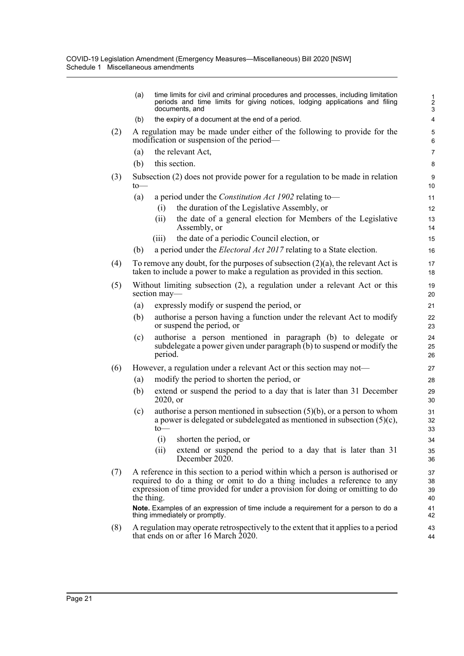|     | (a)                                                                                                                                                                                                                                                       | time limits for civil and criminal procedures and processes, including limitation<br>periods and time limits for giving notices, lodging applications and filing<br>documents, and | $\frac{1}{2}$<br>$\mathsf 3$ |  |  |  |  |
|-----|-----------------------------------------------------------------------------------------------------------------------------------------------------------------------------------------------------------------------------------------------------------|------------------------------------------------------------------------------------------------------------------------------------------------------------------------------------|------------------------------|--|--|--|--|
|     | (b)                                                                                                                                                                                                                                                       | the expiry of a document at the end of a period.                                                                                                                                   | $\overline{4}$               |  |  |  |  |
| (2) | A regulation may be made under either of the following to provide for the<br>modification or suspension of the period—                                                                                                                                    |                                                                                                                                                                                    |                              |  |  |  |  |
|     | (a)                                                                                                                                                                                                                                                       | the relevant Act,                                                                                                                                                                  | $\overline{7}$               |  |  |  |  |
|     | (b)                                                                                                                                                                                                                                                       | this section.                                                                                                                                                                      | 8                            |  |  |  |  |
| (3) | $to-$                                                                                                                                                                                                                                                     | Subsection (2) does not provide power for a regulation to be made in relation                                                                                                      | $9\,$<br>10                  |  |  |  |  |
|     | (a)                                                                                                                                                                                                                                                       | a period under the <i>Constitution Act 1902</i> relating to-                                                                                                                       | 11                           |  |  |  |  |
|     |                                                                                                                                                                                                                                                           | the duration of the Legislative Assembly, or<br>(i)                                                                                                                                | 12                           |  |  |  |  |
|     |                                                                                                                                                                                                                                                           | the date of a general election for Members of the Legislative<br>(i)<br>Assembly, or                                                                                               | 13<br>14                     |  |  |  |  |
|     |                                                                                                                                                                                                                                                           | the date of a periodic Council election, or<br>(iii)                                                                                                                               | 15                           |  |  |  |  |
|     | (b)                                                                                                                                                                                                                                                       | a period under the <i>Electoral Act 2017</i> relating to a State election.                                                                                                         | 16                           |  |  |  |  |
| (4) |                                                                                                                                                                                                                                                           | To remove any doubt, for the purposes of subsection $(2)(a)$ , the relevant Act is<br>taken to include a power to make a regulation as provided in this section.                   | 17<br>18                     |  |  |  |  |
| (5) | Without limiting subsection (2), a regulation under a relevant Act or this<br>section may-                                                                                                                                                                |                                                                                                                                                                                    |                              |  |  |  |  |
|     | (a)                                                                                                                                                                                                                                                       | expressly modify or suspend the period, or                                                                                                                                         | 21                           |  |  |  |  |
|     | (b)                                                                                                                                                                                                                                                       | authorise a person having a function under the relevant Act to modify<br>or suspend the period, or                                                                                 | 22<br>23                     |  |  |  |  |
|     | (c)                                                                                                                                                                                                                                                       | authorise a person mentioned in paragraph (b) to delegate or<br>subdelegate a power given under paragraph (b) to suspend or modify the<br>period.                                  | 24<br>25<br>26               |  |  |  |  |
| (6) |                                                                                                                                                                                                                                                           | However, a regulation under a relevant Act or this section may not—                                                                                                                | 27                           |  |  |  |  |
|     | (a)                                                                                                                                                                                                                                                       | modify the period to shorten the period, or                                                                                                                                        | 28                           |  |  |  |  |
|     | (b)                                                                                                                                                                                                                                                       | extend or suspend the period to a day that is later than 31 December<br>2020, or                                                                                                   | 29<br>30                     |  |  |  |  |
|     | (c)                                                                                                                                                                                                                                                       | authorise a person mentioned in subsection $(5)(b)$ , or a person to whom<br>a power is delegated or subdelegated as mentioned in subsection $(5)(c)$ ,<br>$to-$                   | 31<br>32<br>33               |  |  |  |  |
|     |                                                                                                                                                                                                                                                           | (i) shorten the period, or                                                                                                                                                         | 34                           |  |  |  |  |
|     |                                                                                                                                                                                                                                                           | (ii)<br>extend or suspend the period to a day that is later than 31<br>December 2020.                                                                                              | 35<br>36                     |  |  |  |  |
| (7) | A reference in this section to a period within which a person is authorised or<br>required to do a thing or omit to do a thing includes a reference to any<br>expression of time provided for under a provision for doing or omitting to do<br>the thing. |                                                                                                                                                                                    |                              |  |  |  |  |
|     |                                                                                                                                                                                                                                                           | Note. Examples of an expression of time include a requirement for a person to do a<br>thing immediately or promptly.                                                               | 41<br>42                     |  |  |  |  |
| (8) | A regulation may operate retrospectively to the extent that it applies to a period<br>that ends on or after 16 March 2020.                                                                                                                                |                                                                                                                                                                                    |                              |  |  |  |  |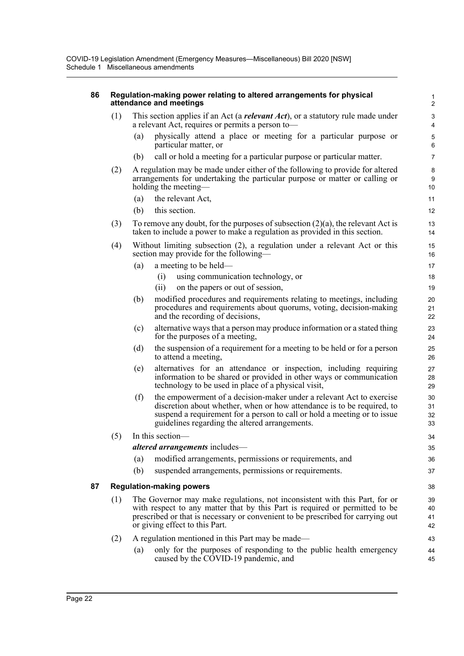# **86 Regulation-making power relating to altered arrangements for physical attendance and meetings**

- (1) This section applies if an Act (a *relevant Act*), or a statutory rule made under a relevant Act, requires or permits a person to—
	- (a) physically attend a place or meeting for a particular purpose or particular matter, or

38

43 44 45

- (b) call or hold a meeting for a particular purpose or particular matter.
- (2) A regulation may be made under either of the following to provide for altered arrangements for undertaking the particular purpose or matter or calling or holding the meeting-
	- (a) the relevant Act,
	- (b) this section.
- (3) To remove any doubt, for the purposes of subsection (2)(a), the relevant Act is taken to include a power to make a regulation as provided in this section.
- (4) Without limiting subsection (2), a regulation under a relevant Act or this section may provide for the following—
	- (a) a meeting to be held—
		- (i) using communication technology, or
		- (ii) on the papers or out of session,
	- (b) modified procedures and requirements relating to meetings, including procedures and requirements about quorums, voting, decision-making and the recording of decisions,
	- (c) alternative ways that a person may produce information or a stated thing for the purposes of a meeting,
	- (d) the suspension of a requirement for a meeting to be held or for a person to attend a meeting,
	- (e) alternatives for an attendance or inspection, including requiring information to be shared or provided in other ways or communication technology to be used in place of a physical visit,
	- (f) the empowerment of a decision-maker under a relevant Act to exercise discretion about whether, when or how attendance is to be required, to suspend a requirement for a person to call or hold a meeting or to issue guidelines regarding the altered arrangements.

# (5) In this section—

*altered arrangements* includes—

- (a) modified arrangements, permissions or requirements, and
- (b) suspended arrangements, permissions or requirements.

# **87 Regulation-making powers**

(1) The Governor may make regulations, not inconsistent with this Part, for or with respect to any matter that by this Part is required or permitted to be prescribed or that is necessary or convenient to be prescribed for carrying out or giving effect to this Part. 39  $40$ 41 42

# (2) A regulation mentioned in this Part may be made—

(a) only for the purposes of responding to the public health emergency caused by the COVID-19 pandemic, and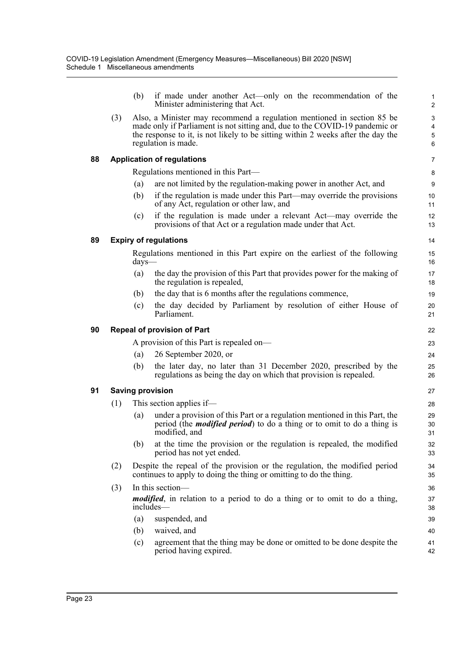|    |                                    | (b)              | if made under another Act—only on the recommendation of the<br>Minister administering that Act.                                                                                                                                                                  | 1<br>$\overline{\mathbf{c}}$ |  |  |  |  |  |
|----|------------------------------------|------------------|------------------------------------------------------------------------------------------------------------------------------------------------------------------------------------------------------------------------------------------------------------------|------------------------------|--|--|--|--|--|
|    | (3)                                |                  | Also, a Minister may recommend a regulation mentioned in section 85 be<br>made only if Parliament is not sitting and, due to the COVID-19 pandemic or<br>the response to it, is not likely to be sitting within 2 weeks after the day the<br>regulation is made. | 3<br>4<br>5<br>6             |  |  |  |  |  |
| 88 |                                    |                  | <b>Application of regulations</b>                                                                                                                                                                                                                                | 7                            |  |  |  |  |  |
|    |                                    |                  | Regulations mentioned in this Part—                                                                                                                                                                                                                              | 8                            |  |  |  |  |  |
|    |                                    | (a)              | are not limited by the regulation-making power in another Act, and                                                                                                                                                                                               | 9                            |  |  |  |  |  |
|    |                                    | (b)              | if the regulation is made under this Part—may override the provisions<br>of any Act, regulation or other law, and                                                                                                                                                | 10<br>11                     |  |  |  |  |  |
|    |                                    | (c)              | if the regulation is made under a relevant Act—may override the<br>provisions of that Act or a regulation made under that Act.                                                                                                                                   | 12<br>13                     |  |  |  |  |  |
| 89 |                                    |                  | <b>Expiry of regulations</b>                                                                                                                                                                                                                                     | 14                           |  |  |  |  |  |
|    |                                    | $\frac{days}{x}$ | Regulations mentioned in this Part expire on the earliest of the following                                                                                                                                                                                       | 15<br>16                     |  |  |  |  |  |
|    |                                    | (a)              | the day the provision of this Part that provides power for the making of<br>the regulation is repealed,                                                                                                                                                          | 17<br>18                     |  |  |  |  |  |
|    |                                    | (b)              | the day that is 6 months after the regulations commence,                                                                                                                                                                                                         | 19                           |  |  |  |  |  |
|    |                                    | (c)              | the day decided by Parliament by resolution of either House of<br>Parliament.                                                                                                                                                                                    | 20<br>21                     |  |  |  |  |  |
| 90 | <b>Repeal of provision of Part</b> |                  |                                                                                                                                                                                                                                                                  |                              |  |  |  |  |  |
|    |                                    |                  | A provision of this Part is repealed on-                                                                                                                                                                                                                         | 23                           |  |  |  |  |  |
|    |                                    | (a)              | 26 September 2020, or                                                                                                                                                                                                                                            | 24                           |  |  |  |  |  |
|    |                                    | (b)              | the later day, no later than 31 December 2020, prescribed by the<br>regulations as being the day on which that provision is repealed.                                                                                                                            | 25<br>26                     |  |  |  |  |  |
| 91 | <b>Saving provision</b>            |                  |                                                                                                                                                                                                                                                                  |                              |  |  |  |  |  |
|    | (1)                                |                  | This section applies if—                                                                                                                                                                                                                                         | 28                           |  |  |  |  |  |
|    |                                    | (a)              | under a provision of this Part or a regulation mentioned in this Part, the<br>period (the <i>modified period</i> ) to do a thing or to omit to do a thing is<br>modified, and                                                                                    | 29<br>30<br>31               |  |  |  |  |  |
|    |                                    | (b)              | at the time the provision or the regulation is repealed, the modified<br>period has not yet ended.                                                                                                                                                               | 32<br>33                     |  |  |  |  |  |
|    | (2)                                |                  | Despite the repeal of the provision or the regulation, the modified period<br>continues to apply to doing the thing or omitting to do the thing.                                                                                                                 | 34<br>35                     |  |  |  |  |  |
|    | (3)                                |                  | In this section-                                                                                                                                                                                                                                                 | 36                           |  |  |  |  |  |
|    |                                    |                  | <i>modified</i> , in relation to a period to do a thing or to omit to do a thing,<br>includes—                                                                                                                                                                   | 37<br>38                     |  |  |  |  |  |
|    |                                    | (a)              | suspended, and                                                                                                                                                                                                                                                   | 39                           |  |  |  |  |  |
|    |                                    | (b)              | waived, and                                                                                                                                                                                                                                                      | 40                           |  |  |  |  |  |
|    |                                    | (c)              | agreement that the thing may be done or omitted to be done despite the<br>period having expired.                                                                                                                                                                 | 41<br>42                     |  |  |  |  |  |
|    |                                    |                  |                                                                                                                                                                                                                                                                  |                              |  |  |  |  |  |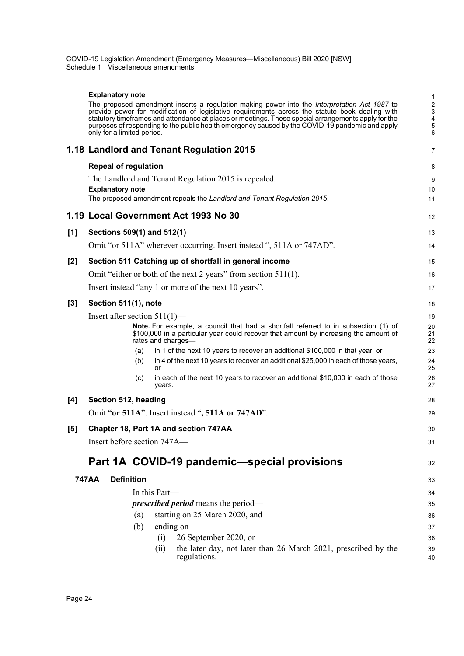|     | <b>Explanatory note</b>                                                                                                                                                                                                                                                                                | 1                                              |  |  |  |  |
|-----|--------------------------------------------------------------------------------------------------------------------------------------------------------------------------------------------------------------------------------------------------------------------------------------------------------|------------------------------------------------|--|--|--|--|
|     | The proposed amendment inserts a regulation-making power into the Interpretation Act 1987 to<br>provide power for modification of legislative requirements across the statute book dealing with<br>statutory timeframes and attendance at places or meetings. These special arrangements apply for the | $\overline{c}$<br>3<br>$\overline{\mathbf{4}}$ |  |  |  |  |
|     | purposes of responding to the public health emergency caused by the COVID-19 pandemic and apply<br>only for a limited period.                                                                                                                                                                          | 5<br>6                                         |  |  |  |  |
|     | 1.18 Landlord and Tenant Regulation 2015                                                                                                                                                                                                                                                               | $\overline{7}$                                 |  |  |  |  |
|     | <b>Repeal of regulation</b>                                                                                                                                                                                                                                                                            | 8                                              |  |  |  |  |
|     | The Landlord and Tenant Regulation 2015 is repealed.                                                                                                                                                                                                                                                   | 9                                              |  |  |  |  |
|     | <b>Explanatory note</b><br>The proposed amendment repeals the Landlord and Tenant Regulation 2015.                                                                                                                                                                                                     | 10<br>11                                       |  |  |  |  |
|     | 1.19 Local Government Act 1993 No 30                                                                                                                                                                                                                                                                   | 12                                             |  |  |  |  |
|     |                                                                                                                                                                                                                                                                                                        |                                                |  |  |  |  |
| [1] | Sections 509(1) and 512(1)                                                                                                                                                                                                                                                                             | 13                                             |  |  |  |  |
|     | Omit "or 511A" wherever occurring. Insert instead ", 511A or 747AD".                                                                                                                                                                                                                                   | 14                                             |  |  |  |  |
| [2] | Section 511 Catching up of shortfall in general income                                                                                                                                                                                                                                                 | 15                                             |  |  |  |  |
|     | Omit "either or both of the next 2 years" from section $511(1)$ .                                                                                                                                                                                                                                      | 16                                             |  |  |  |  |
|     | Insert instead "any 1 or more of the next 10 years".                                                                                                                                                                                                                                                   | 17                                             |  |  |  |  |
| [3] | Section 511(1), note                                                                                                                                                                                                                                                                                   |                                                |  |  |  |  |
|     | Insert after section $511(1)$ —                                                                                                                                                                                                                                                                        | 19                                             |  |  |  |  |
|     | <b>Note.</b> For example, a council that had a shortfall referred to in subsection (1) of<br>\$100,000 in a particular year could recover that amount by increasing the amount of<br>rates and charges-                                                                                                | 20<br>21<br>22                                 |  |  |  |  |
|     | in 1 of the next 10 years to recover an additional \$100,000 in that year, or<br>(a)                                                                                                                                                                                                                   | 23                                             |  |  |  |  |
|     | in 4 of the next 10 years to recover an additional \$25,000 in each of those years,<br>(b)<br>or                                                                                                                                                                                                       | 24<br>25                                       |  |  |  |  |
|     | in each of the next 10 years to recover an additional \$10,000 in each of those<br>(c)<br>years.                                                                                                                                                                                                       | 26<br>27                                       |  |  |  |  |
| [4] | Section 512, heading                                                                                                                                                                                                                                                                                   | 28                                             |  |  |  |  |
|     | Omit "or 511A". Insert instead ", 511A or 747AD".                                                                                                                                                                                                                                                      | 29                                             |  |  |  |  |
| [5] | Chapter 18, Part 1A and section 747AA                                                                                                                                                                                                                                                                  | 30                                             |  |  |  |  |
|     | Insert before section 747A-                                                                                                                                                                                                                                                                            | 31                                             |  |  |  |  |
|     | Part 1A COVID-19 pandemic-special provisions                                                                                                                                                                                                                                                           | 32                                             |  |  |  |  |
|     | <b>Definition</b><br>747AA                                                                                                                                                                                                                                                                             | 33                                             |  |  |  |  |
|     | In this Part-                                                                                                                                                                                                                                                                                          | 34                                             |  |  |  |  |
|     | <i>prescribed period</i> means the period—                                                                                                                                                                                                                                                             | 35                                             |  |  |  |  |
|     | starting on 25 March 2020, and<br>(a)                                                                                                                                                                                                                                                                  | 36                                             |  |  |  |  |
|     | ending on-<br>(b)                                                                                                                                                                                                                                                                                      | 37                                             |  |  |  |  |
|     | 26 September 2020, or<br>(i)                                                                                                                                                                                                                                                                           | 38                                             |  |  |  |  |
|     | the later day, not later than 26 March 2021, prescribed by the<br>(ii)<br>regulations.                                                                                                                                                                                                                 | 39<br>40                                       |  |  |  |  |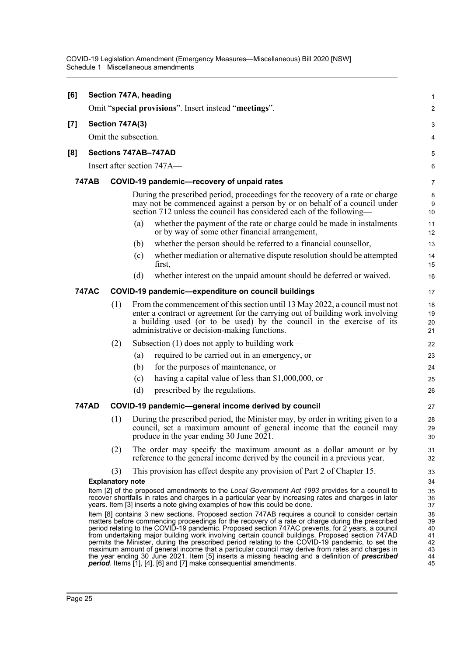| [6]               | Section 747A, heading<br>Omit "special provisions". Insert instead "meetings".                                                                                                                                                                                                                                                                                                                                                                                                                                                                                                                                                                                                                                                                                                                              |     |                                                                                                                                                                                                                                                                                       |                      |  |  |  |  |  |
|-------------------|-------------------------------------------------------------------------------------------------------------------------------------------------------------------------------------------------------------------------------------------------------------------------------------------------------------------------------------------------------------------------------------------------------------------------------------------------------------------------------------------------------------------------------------------------------------------------------------------------------------------------------------------------------------------------------------------------------------------------------------------------------------------------------------------------------------|-----|---------------------------------------------------------------------------------------------------------------------------------------------------------------------------------------------------------------------------------------------------------------------------------------|----------------------|--|--|--|--|--|
|                   | Section 747A(3)                                                                                                                                                                                                                                                                                                                                                                                                                                                                                                                                                                                                                                                                                                                                                                                             |     |                                                                                                                                                                                                                                                                                       |                      |  |  |  |  |  |
| $\left[ 7\right]$ |                                                                                                                                                                                                                                                                                                                                                                                                                                                                                                                                                                                                                                                                                                                                                                                                             |     | Omit the subsection.                                                                                                                                                                                                                                                                  | 3                    |  |  |  |  |  |
|                   |                                                                                                                                                                                                                                                                                                                                                                                                                                                                                                                                                                                                                                                                                                                                                                                                             |     |                                                                                                                                                                                                                                                                                       | 4                    |  |  |  |  |  |
| [8]               |                                                                                                                                                                                                                                                                                                                                                                                                                                                                                                                                                                                                                                                                                                                                                                                                             |     | Sections 747AB-747AD                                                                                                                                                                                                                                                                  | 5                    |  |  |  |  |  |
|                   |                                                                                                                                                                                                                                                                                                                                                                                                                                                                                                                                                                                                                                                                                                                                                                                                             |     | Insert after section $747A$ —                                                                                                                                                                                                                                                         | 6                    |  |  |  |  |  |
|                   | <b>747AB</b>                                                                                                                                                                                                                                                                                                                                                                                                                                                                                                                                                                                                                                                                                                                                                                                                |     | COVID-19 pandemic-recovery of unpaid rates                                                                                                                                                                                                                                            | $\overline{7}$       |  |  |  |  |  |
|                   |                                                                                                                                                                                                                                                                                                                                                                                                                                                                                                                                                                                                                                                                                                                                                                                                             |     | During the prescribed period, proceedings for the recovery of a rate or charge<br>may not be commenced against a person by or on behalf of a council under<br>section 712 unless the council has considered each of the following—                                                    | 8<br>9<br>10         |  |  |  |  |  |
|                   |                                                                                                                                                                                                                                                                                                                                                                                                                                                                                                                                                                                                                                                                                                                                                                                                             |     | whether the payment of the rate or charge could be made in instalments<br>(a)<br>or by way of some other financial arrangement,                                                                                                                                                       | 11<br>12             |  |  |  |  |  |
|                   |                                                                                                                                                                                                                                                                                                                                                                                                                                                                                                                                                                                                                                                                                                                                                                                                             |     | whether the person should be referred to a financial counsellor,<br>(b)                                                                                                                                                                                                               | 13                   |  |  |  |  |  |
|                   |                                                                                                                                                                                                                                                                                                                                                                                                                                                                                                                                                                                                                                                                                                                                                                                                             |     | whether mediation or alternative dispute resolution should be attempted<br>(c)<br>first,                                                                                                                                                                                              | 14<br>15             |  |  |  |  |  |
|                   |                                                                                                                                                                                                                                                                                                                                                                                                                                                                                                                                                                                                                                                                                                                                                                                                             |     | (d)<br>whether interest on the unpaid amount should be deferred or waived.                                                                                                                                                                                                            | 16                   |  |  |  |  |  |
|                   | <b>747AC</b>                                                                                                                                                                                                                                                                                                                                                                                                                                                                                                                                                                                                                                                                                                                                                                                                |     | COVID-19 pandemic-expenditure on council buildings                                                                                                                                                                                                                                    | 17                   |  |  |  |  |  |
|                   |                                                                                                                                                                                                                                                                                                                                                                                                                                                                                                                                                                                                                                                                                                                                                                                                             | (1) | From the commencement of this section until 13 May 2022, a council must not<br>enter a contract or agreement for the carrying out of building work involving<br>a building used (or to be used) by the council in the exercise of its<br>administrative or decision-making functions. | 18<br>19<br>20<br>21 |  |  |  |  |  |
|                   |                                                                                                                                                                                                                                                                                                                                                                                                                                                                                                                                                                                                                                                                                                                                                                                                             | (2) | Subsection (1) does not apply to building work—                                                                                                                                                                                                                                       | 22                   |  |  |  |  |  |
|                   |                                                                                                                                                                                                                                                                                                                                                                                                                                                                                                                                                                                                                                                                                                                                                                                                             |     | required to be carried out in an emergency, or<br>(a)                                                                                                                                                                                                                                 | 23                   |  |  |  |  |  |
|                   |                                                                                                                                                                                                                                                                                                                                                                                                                                                                                                                                                                                                                                                                                                                                                                                                             |     | for the purposes of maintenance, or<br>(b)                                                                                                                                                                                                                                            | 24                   |  |  |  |  |  |
|                   |                                                                                                                                                                                                                                                                                                                                                                                                                                                                                                                                                                                                                                                                                                                                                                                                             |     | having a capital value of less than \$1,000,000, or<br>(c)                                                                                                                                                                                                                            | 25                   |  |  |  |  |  |
|                   |                                                                                                                                                                                                                                                                                                                                                                                                                                                                                                                                                                                                                                                                                                                                                                                                             |     | (d)<br>prescribed by the regulations.                                                                                                                                                                                                                                                 | 26                   |  |  |  |  |  |
|                   | 747AD                                                                                                                                                                                                                                                                                                                                                                                                                                                                                                                                                                                                                                                                                                                                                                                                       |     | COVID-19 pandemic-general income derived by council                                                                                                                                                                                                                                   | 27                   |  |  |  |  |  |
|                   |                                                                                                                                                                                                                                                                                                                                                                                                                                                                                                                                                                                                                                                                                                                                                                                                             | (1) | During the prescribed period, the Minister may, by order in writing given to a<br>council, set a maximum amount of general income that the council may<br>produce in the year ending 30 June 2021.                                                                                    | 28<br>29<br>30       |  |  |  |  |  |
|                   |                                                                                                                                                                                                                                                                                                                                                                                                                                                                                                                                                                                                                                                                                                                                                                                                             | (2) | The order may specify the maximum amount as a dollar amount or by<br>reference to the general income derived by the council in a previous year.                                                                                                                                       | 31<br>32             |  |  |  |  |  |
|                   |                                                                                                                                                                                                                                                                                                                                                                                                                                                                                                                                                                                                                                                                                                                                                                                                             | (3) | This provision has effect despite any provision of Part 2 of Chapter 15.                                                                                                                                                                                                              | 33                   |  |  |  |  |  |
|                   |                                                                                                                                                                                                                                                                                                                                                                                                                                                                                                                                                                                                                                                                                                                                                                                                             |     | <b>Explanatory note</b>                                                                                                                                                                                                                                                               | 34                   |  |  |  |  |  |
|                   |                                                                                                                                                                                                                                                                                                                                                                                                                                                                                                                                                                                                                                                                                                                                                                                                             |     | Item [2] of the proposed amendments to the Local Government Act 1993 provides for a council to<br>recover shortfalls in rates and charges in a particular year by increasing rates and charges in later<br>years. Item [3] inserts a note giving examples of how this could be done.  | 35<br>36<br>37       |  |  |  |  |  |
|                   | Item [8] contains 3 new sections. Proposed section 747AB requires a council to consider certain<br>matters before commencing proceedings for the recovery of a rate or charge during the prescribed<br>period relating to the COVID-19 pandemic. Proposed section 747AC prevents, for 2 years, a council<br>from undertaking major building work involving certain council buildings. Proposed section 747AD<br>permits the Minister, during the prescribed period relating to the COVID-19 pandemic, to set the<br>maximum amount of general income that a particular council may derive from rates and charges in<br>the year ending 30 June 2021. Item [5] inserts a missing heading and a definition of <i>prescribed</i><br><b>period</b> . Items [1], [4], [6] and [7] make consequential amendments. |     |                                                                                                                                                                                                                                                                                       |                      |  |  |  |  |  |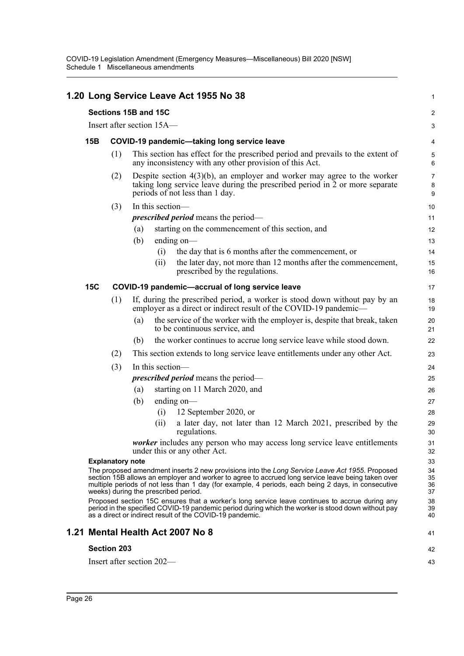|                                                                                                                                                                                                                                                                                                                                                   |                         |                                            |                           | 1.20 Long Service Leave Act 1955 No 38                                                                                                                                                        | $\mathbf{1}$             |  |  |
|---------------------------------------------------------------------------------------------------------------------------------------------------------------------------------------------------------------------------------------------------------------------------------------------------------------------------------------------------|-------------------------|--------------------------------------------|---------------------------|-----------------------------------------------------------------------------------------------------------------------------------------------------------------------------------------------|--------------------------|--|--|
| Sections 15B and 15C                                                                                                                                                                                                                                                                                                                              |                         |                                            |                           |                                                                                                                                                                                               |                          |  |  |
| Insert after section 15A—                                                                                                                                                                                                                                                                                                                         |                         |                                            |                           |                                                                                                                                                                                               |                          |  |  |
| 15B                                                                                                                                                                                                                                                                                                                                               |                         |                                            |                           | COVID-19 pandemic-taking long service leave                                                                                                                                                   | 4                        |  |  |
|                                                                                                                                                                                                                                                                                                                                                   | (1)                     |                                            |                           | This section has effect for the prescribed period and prevails to the extent of<br>any inconsistency with any other provision of this Act.                                                    | 5<br>6                   |  |  |
|                                                                                                                                                                                                                                                                                                                                                   | (2)                     |                                            |                           | Despite section $4(3)(b)$ , an employer and worker may agree to the worker<br>taking long service leave during the prescribed period in 2 or more separate<br>periods of not less than 1 day. | $\overline{7}$<br>8<br>9 |  |  |
|                                                                                                                                                                                                                                                                                                                                                   | (3)                     |                                            | In this section-          |                                                                                                                                                                                               | 10                       |  |  |
|                                                                                                                                                                                                                                                                                                                                                   |                         | <i>prescribed period</i> means the period- |                           |                                                                                                                                                                                               |                          |  |  |
|                                                                                                                                                                                                                                                                                                                                                   |                         | (a)                                        |                           | starting on the commencement of this section, and                                                                                                                                             | 12                       |  |  |
|                                                                                                                                                                                                                                                                                                                                                   |                         | (b)                                        |                           | ending on—                                                                                                                                                                                    | 13                       |  |  |
|                                                                                                                                                                                                                                                                                                                                                   |                         |                                            | (i)                       | the day that is 6 months after the commencement, or                                                                                                                                           | 14                       |  |  |
|                                                                                                                                                                                                                                                                                                                                                   |                         |                                            | (ii)                      | the later day, not more than 12 months after the commencement,<br>prescribed by the regulations.                                                                                              | 15<br>16                 |  |  |
| <b>15C</b>                                                                                                                                                                                                                                                                                                                                        |                         |                                            |                           | COVID-19 pandemic-accrual of long service leave                                                                                                                                               | 17                       |  |  |
|                                                                                                                                                                                                                                                                                                                                                   | (1)                     |                                            |                           | If, during the prescribed period, a worker is stood down without pay by an<br>employer as a direct or indirect result of the COVID-19 pandemic—                                               | 18<br>19                 |  |  |
|                                                                                                                                                                                                                                                                                                                                                   |                         | (a)                                        |                           | the service of the worker with the employer is, despite that break, taken<br>to be continuous service, and                                                                                    | 20<br>21                 |  |  |
|                                                                                                                                                                                                                                                                                                                                                   |                         | (b)                                        |                           | the worker continues to accrue long service leave while stood down.                                                                                                                           | 22                       |  |  |
|                                                                                                                                                                                                                                                                                                                                                   | (2)                     |                                            |                           | This section extends to long service leave entitlements under any other Act.                                                                                                                  | 23                       |  |  |
|                                                                                                                                                                                                                                                                                                                                                   | (3)                     | In this section-                           |                           |                                                                                                                                                                                               |                          |  |  |
|                                                                                                                                                                                                                                                                                                                                                   |                         | <i>prescribed period</i> means the period— |                           |                                                                                                                                                                                               |                          |  |  |
|                                                                                                                                                                                                                                                                                                                                                   |                         | (a)                                        |                           | starting on 11 March 2020, and                                                                                                                                                                | 26                       |  |  |
|                                                                                                                                                                                                                                                                                                                                                   |                         | (b)                                        |                           | ending $on$ —                                                                                                                                                                                 | 27                       |  |  |
|                                                                                                                                                                                                                                                                                                                                                   |                         |                                            | (i)                       | 12 September 2020, or                                                                                                                                                                         | 28                       |  |  |
|                                                                                                                                                                                                                                                                                                                                                   |                         |                                            | (ii)                      | a later day, not later than 12 March 2021, prescribed by the<br>regulations.                                                                                                                  | 29<br>30                 |  |  |
|                                                                                                                                                                                                                                                                                                                                                   |                         |                                            |                           | worker includes any person who may access long service leave entitlements<br>under this or any other Act.                                                                                     | 31<br>32                 |  |  |
|                                                                                                                                                                                                                                                                                                                                                   | <b>Explanatory note</b> |                                            |                           |                                                                                                                                                                                               | 33<br>34                 |  |  |
| The proposed amendment inserts 2 new provisions into the Long Service Leave Act 1955. Proposed<br>section 15B allows an employer and worker to agree to accrued long service leave being taken over<br>multiple periods of not less than 1 day (for example, 4 periods, each being 2 days, in consecutive<br>weeks) during the prescribed period. |                         |                                            |                           |                                                                                                                                                                                               |                          |  |  |
| Proposed section 15C ensures that a worker's long service leave continues to accrue during any<br>period in the specified COVID-19 pandemic period during which the worker is stood down without pay<br>as a direct or indirect result of the COVID-19 pandemic.                                                                                  |                         |                                            |                           |                                                                                                                                                                                               |                          |  |  |
|                                                                                                                                                                                                                                                                                                                                                   |                         |                                            |                           | 1.21 Mental Health Act 2007 No 8                                                                                                                                                              | 41                       |  |  |
|                                                                                                                                                                                                                                                                                                                                                   | <b>Section 203</b>      |                                            |                           |                                                                                                                                                                                               | 42                       |  |  |
|                                                                                                                                                                                                                                                                                                                                                   |                         |                                            | Insert after section 202- |                                                                                                                                                                                               | 43                       |  |  |
|                                                                                                                                                                                                                                                                                                                                                   |                         |                                            |                           |                                                                                                                                                                                               |                          |  |  |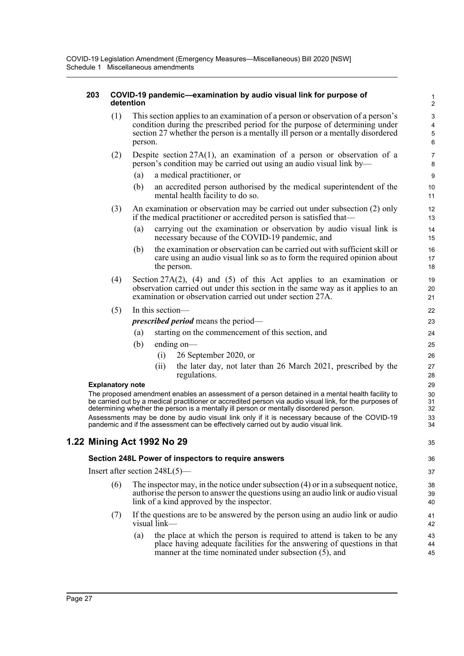| 203                                                                                                                                                                                                | COVID-19 pandemic-examination by audio visual link for purpose of<br>detention |                                                                                                                                                                                                                                                              |                  |                                                                                                                                                                                                                     |                     |  |  |
|----------------------------------------------------------------------------------------------------------------------------------------------------------------------------------------------------|--------------------------------------------------------------------------------|--------------------------------------------------------------------------------------------------------------------------------------------------------------------------------------------------------------------------------------------------------------|------------------|---------------------------------------------------------------------------------------------------------------------------------------------------------------------------------------------------------------------|---------------------|--|--|
|                                                                                                                                                                                                    | (1)                                                                            | This section applies to an examination of a person or observation of a person's<br>condition during the prescribed period for the purpose of determining under<br>section 27 whether the person is a mentally ill person or a mentally disordered<br>person. |                  |                                                                                                                                                                                                                     |                     |  |  |
|                                                                                                                                                                                                    | (2)                                                                            |                                                                                                                                                                                                                                                              |                  | Despite section $27A(1)$ , an examination of a person or observation of a<br>person's condition may be carried out using an audio visual link by-                                                                   | $\overline{7}$<br>8 |  |  |
|                                                                                                                                                                                                    |                                                                                | (a)                                                                                                                                                                                                                                                          |                  | a medical practitioner, or                                                                                                                                                                                          | $\boldsymbol{9}$    |  |  |
|                                                                                                                                                                                                    |                                                                                | (b)                                                                                                                                                                                                                                                          |                  | an accredited person authorised by the medical superintendent of the<br>mental health facility to do so.                                                                                                            | 10<br>11            |  |  |
|                                                                                                                                                                                                    | (3)                                                                            |                                                                                                                                                                                                                                                              |                  | An examination or observation may be carried out under subsection (2) only<br>if the medical practitioner or accredited person is satisfied that—                                                                   | 12<br>13            |  |  |
|                                                                                                                                                                                                    |                                                                                | (a)                                                                                                                                                                                                                                                          |                  | carrying out the examination or observation by audio visual link is<br>necessary because of the COVID-19 pandemic, and                                                                                              | 14<br>15            |  |  |
|                                                                                                                                                                                                    |                                                                                | (b)                                                                                                                                                                                                                                                          |                  | the examination or observation can be carried out with sufficient skill or<br>care using an audio visual link so as to form the required opinion about<br>the person.                                               | 16<br>17<br>18      |  |  |
|                                                                                                                                                                                                    | (4)                                                                            |                                                                                                                                                                                                                                                              |                  | Section 27A(2), (4) and (5) of this Act applies to an examination or<br>observation carried out under this section in the same way as it applies to an<br>examination or observation carried out under section 27A. | 19<br>20<br>21      |  |  |
|                                                                                                                                                                                                    | (5)                                                                            |                                                                                                                                                                                                                                                              | In this section- |                                                                                                                                                                                                                     | 22                  |  |  |
|                                                                                                                                                                                                    |                                                                                |                                                                                                                                                                                                                                                              |                  | <i>prescribed period</i> means the period—                                                                                                                                                                          | 23                  |  |  |
|                                                                                                                                                                                                    |                                                                                | (a)                                                                                                                                                                                                                                                          |                  | starting on the commencement of this section, and                                                                                                                                                                   | 24                  |  |  |
|                                                                                                                                                                                                    |                                                                                | (b)                                                                                                                                                                                                                                                          |                  | ending on—                                                                                                                                                                                                          | 25                  |  |  |
|                                                                                                                                                                                                    |                                                                                |                                                                                                                                                                                                                                                              | (i)              | 26 September 2020, or                                                                                                                                                                                               | 26                  |  |  |
|                                                                                                                                                                                                    |                                                                                |                                                                                                                                                                                                                                                              | (ii)             | the later day, not later than 26 March 2021, prescribed by the<br>regulations.                                                                                                                                      | 27<br>28<br>29      |  |  |
| <b>Explanatory note</b><br>The proposed amendment enables an assessment of a person detained in a mental health facility to                                                                        |                                                                                |                                                                                                                                                                                                                                                              |                  |                                                                                                                                                                                                                     |                     |  |  |
| be carried out by a medical practitioner or accredited person via audio visual link, for the purposes of<br>determining whether the person is a mentally ill person or mentally disordered person. |                                                                                |                                                                                                                                                                                                                                                              |                  |                                                                                                                                                                                                                     |                     |  |  |
|                                                                                                                                                                                                    |                                                                                |                                                                                                                                                                                                                                                              |                  | Assessments may be done by audio visual link only if it is necessary because of the COVID-19<br>pandemic and if the assessment can be effectively carried out by audio visual link.                                 | 33<br>34            |  |  |
| 1.22 Mining Act 1992 No 29                                                                                                                                                                         |                                                                                |                                                                                                                                                                                                                                                              |                  |                                                                                                                                                                                                                     |                     |  |  |
|                                                                                                                                                                                                    |                                                                                |                                                                                                                                                                                                                                                              |                  | Section 248L Power of inspectors to require answers                                                                                                                                                                 | 36                  |  |  |
|                                                                                                                                                                                                    | Insert after section $248L(5)$ —                                               |                                                                                                                                                                                                                                                              |                  |                                                                                                                                                                                                                     | 37                  |  |  |
|                                                                                                                                                                                                    | (6)                                                                            |                                                                                                                                                                                                                                                              |                  | The inspector may, in the notice under subsection $(4)$ or in a subsequent notice,<br>authorise the person to answer the questions using an audio link or audio visual<br>link of a kind approved by the inspector. | 38<br>39<br>40      |  |  |
|                                                                                                                                                                                                    | (7)                                                                            |                                                                                                                                                                                                                                                              | visual link—     | If the questions are to be answered by the person using an audio link or audio                                                                                                                                      | 41<br>42            |  |  |
|                                                                                                                                                                                                    |                                                                                | (a)                                                                                                                                                                                                                                                          |                  | the place at which the person is required to attend is taken to be any<br>place having adequate facilities for the answering of questions in that                                                                   | 43<br>44            |  |  |

manner at the time nominated under subsection  $(5)$ , and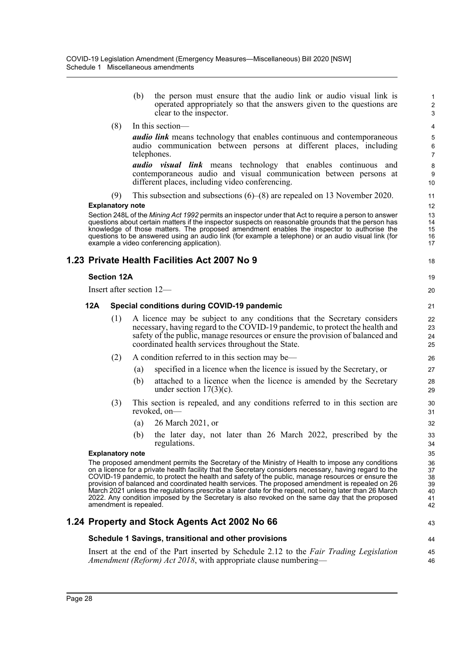clear to the inspector.

|     | (8)                     | In this section—                                                                                                                                                                                                                                                                                                                                                                                                                                                                                                                                                                                                                                         | $\overline{\mathcal{A}}$               |
|-----|-------------------------|----------------------------------------------------------------------------------------------------------------------------------------------------------------------------------------------------------------------------------------------------------------------------------------------------------------------------------------------------------------------------------------------------------------------------------------------------------------------------------------------------------------------------------------------------------------------------------------------------------------------------------------------------------|----------------------------------------|
|     |                         | <b><i>audio link</i></b> means technology that enables continuous and contemporaneous<br>audio communication between persons at different places, including<br>telephones.                                                                                                                                                                                                                                                                                                                                                                                                                                                                               | 5<br>6<br>$\overline{7}$               |
|     |                         | <i>audio visual link</i> means technology that enables continuous and<br>contemporaneous audio and visual communication between persons at<br>different places, including video conferencing.                                                                                                                                                                                                                                                                                                                                                                                                                                                            | $\bf 8$<br>9<br>10                     |
|     | (9)                     | This subsection and subsections $(6)$ – $(8)$ are repealed on 13 November 2020.                                                                                                                                                                                                                                                                                                                                                                                                                                                                                                                                                                          | 11                                     |
|     | <b>Explanatory note</b> |                                                                                                                                                                                                                                                                                                                                                                                                                                                                                                                                                                                                                                                          | 12                                     |
|     |                         | Section 248L of the Mining Act 1992 permits an inspector under that Act to require a person to answer<br>questions about certain matters if the inspector suspects on reasonable grounds that the person has<br>knowledge of those matters. The proposed amendment enables the inspector to authorise the<br>questions to be answered using an audio link (for example a telephone) or an audio visual link (for<br>example a video conferencing application).                                                                                                                                                                                           | 13<br>14<br>15<br>16<br>17             |
|     |                         | 1.23 Private Health Facilities Act 2007 No 9                                                                                                                                                                                                                                                                                                                                                                                                                                                                                                                                                                                                             | 18                                     |
|     | <b>Section 12A</b>      |                                                                                                                                                                                                                                                                                                                                                                                                                                                                                                                                                                                                                                                          | 19                                     |
|     |                         | Insert after section 12-                                                                                                                                                                                                                                                                                                                                                                                                                                                                                                                                                                                                                                 | 20                                     |
| 12A |                         | Special conditions during COVID-19 pandemic                                                                                                                                                                                                                                                                                                                                                                                                                                                                                                                                                                                                              | 21                                     |
|     | (1)                     | A licence may be subject to any conditions that the Secretary considers<br>necessary, having regard to the COVID-19 pandemic, to protect the health and<br>safety of the public, manage resources or ensure the provision of balanced and<br>coordinated health services throughout the State.                                                                                                                                                                                                                                                                                                                                                           | 22<br>23<br>24<br>25                   |
|     | (2)                     | A condition referred to in this section may be—                                                                                                                                                                                                                                                                                                                                                                                                                                                                                                                                                                                                          | 26                                     |
|     |                         | specified in a licence when the licence is issued by the Secretary, or<br>(a)                                                                                                                                                                                                                                                                                                                                                                                                                                                                                                                                                                            | 27                                     |
|     |                         | attached to a licence when the licence is amended by the Secretary<br>(b)<br>under section $17(3)(c)$ .                                                                                                                                                                                                                                                                                                                                                                                                                                                                                                                                                  | 28<br>29                               |
|     | (3)                     | This section is repealed, and any conditions referred to in this section are<br>revoked, on-                                                                                                                                                                                                                                                                                                                                                                                                                                                                                                                                                             | 30<br>31                               |
|     |                         | 26 March 2021, or<br>(a)                                                                                                                                                                                                                                                                                                                                                                                                                                                                                                                                                                                                                                 | 32                                     |
|     |                         | the later day, not later than 26 March 2022, prescribed by the<br>(b)<br>regulations.                                                                                                                                                                                                                                                                                                                                                                                                                                                                                                                                                                    | 33<br>34                               |
|     | <b>Explanatory note</b> |                                                                                                                                                                                                                                                                                                                                                                                                                                                                                                                                                                                                                                                          | 35                                     |
|     |                         | The proposed amendment permits the Secretary of the Ministry of Health to impose any conditions<br>on a licence for a private health facility that the Secretary considers necessary, having regard to the<br>COVID-19 pandemic, to protect the health and safety of the public, manage resources or ensure the<br>provision of balanced and coordinated health services. The proposed amendment is repealed on 26<br>March 2021 unless the regulations prescribe a later date for the repeal, not being later than 26 March<br>2022. Any condition imposed by the Secretary is also revoked on the same day that the proposed<br>amendment is repealed. | 36<br>37<br>38<br>39<br>40<br>41<br>42 |
|     |                         | 1.24 Property and Stock Agents Act 2002 No 66                                                                                                                                                                                                                                                                                                                                                                                                                                                                                                                                                                                                            | 43                                     |
|     |                         | Schedule 1 Savings, transitional and other provisions                                                                                                                                                                                                                                                                                                                                                                                                                                                                                                                                                                                                    | 44                                     |
|     |                         | Insert at the end of the Part inserted by Schedule 2.12 to the Fair Trading Legislation<br>Amendment (Reform) Act 2018, with appropriate clause numbering—                                                                                                                                                                                                                                                                                                                                                                                                                                                                                               | 45<br>46                               |

(b) the person must ensure that the audio link or audio visual link is operated appropriately so that the answers given to the questions are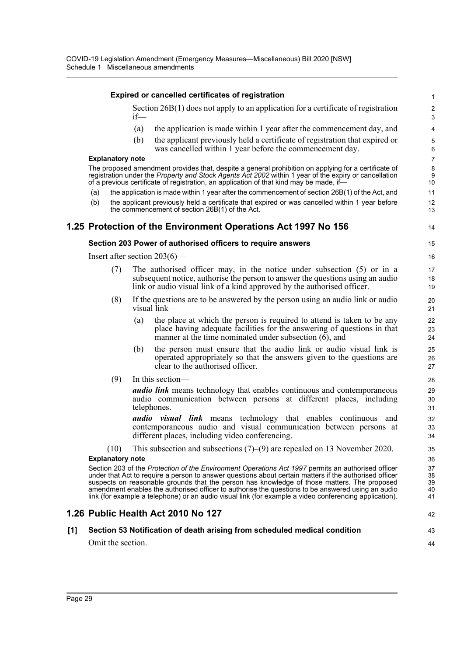|     |                                                                                           |                         |     | <b>Expired or cancelled certificates of registration</b>                                                                                                                                                                                                                                                                                                                                                                                                                                                                   | 1                          |  |  |  |  |
|-----|-------------------------------------------------------------------------------------------|-------------------------|-----|----------------------------------------------------------------------------------------------------------------------------------------------------------------------------------------------------------------------------------------------------------------------------------------------------------------------------------------------------------------------------------------------------------------------------------------------------------------------------------------------------------------------------|----------------------------|--|--|--|--|
|     | Section $26B(1)$ does not apply to an application for a certificate of registration<br>if |                         |     |                                                                                                                                                                                                                                                                                                                                                                                                                                                                                                                            |                            |  |  |  |  |
|     |                                                                                           |                         | (a) | the application is made within 1 year after the commencement day, and                                                                                                                                                                                                                                                                                                                                                                                                                                                      | 4                          |  |  |  |  |
|     |                                                                                           |                         | (b) | the applicant previously held a certificate of registration that expired or<br>was cancelled within 1 year before the commencement day.                                                                                                                                                                                                                                                                                                                                                                                    | 5<br>6                     |  |  |  |  |
|     |                                                                                           | <b>Explanatory note</b> |     |                                                                                                                                                                                                                                                                                                                                                                                                                                                                                                                            | $\overline{7}$             |  |  |  |  |
|     |                                                                                           |                         |     | The proposed amendment provides that, despite a general prohibition on applying for a certificate of<br>registration under the Property and Stock Agents Act 2002 within 1 year of the expiry or cancellation<br>of a previous certificate of registration, an application of that kind may be made, if-                                                                                                                                                                                                                   | 8<br>9<br>10               |  |  |  |  |
|     | (a)                                                                                       |                         |     | the application is made within 1 year after the commencement of section 26B(1) of the Act, and                                                                                                                                                                                                                                                                                                                                                                                                                             | 11                         |  |  |  |  |
|     | (b)                                                                                       |                         |     | the applicant previously held a certificate that expired or was cancelled within 1 year before<br>the commencement of section 26B(1) of the Act.                                                                                                                                                                                                                                                                                                                                                                           | 12<br>13                   |  |  |  |  |
|     |                                                                                           |                         |     | 1.25 Protection of the Environment Operations Act 1997 No 156                                                                                                                                                                                                                                                                                                                                                                                                                                                              | 14                         |  |  |  |  |
|     |                                                                                           |                         |     | Section 203 Power of authorised officers to require answers                                                                                                                                                                                                                                                                                                                                                                                                                                                                | 15                         |  |  |  |  |
|     |                                                                                           |                         |     | Insert after section $203(6)$ —                                                                                                                                                                                                                                                                                                                                                                                                                                                                                            | 16                         |  |  |  |  |
|     |                                                                                           | (7)                     |     | The authorised officer may, in the notice under subsection $(5)$ or in a<br>subsequent notice, authorise the person to answer the questions using an audio<br>link or audio visual link of a kind approved by the authorised officer.                                                                                                                                                                                                                                                                                      | 17<br>18<br>19             |  |  |  |  |
|     |                                                                                           | (8)                     |     | If the questions are to be answered by the person using an audio link or audio<br>visual link—                                                                                                                                                                                                                                                                                                                                                                                                                             | 20<br>21                   |  |  |  |  |
|     |                                                                                           |                         | (a) | the place at which the person is required to attend is taken to be any<br>place having adequate facilities for the answering of questions in that<br>manner at the time nominated under subsection (6), and                                                                                                                                                                                                                                                                                                                | 22<br>23<br>24             |  |  |  |  |
|     |                                                                                           |                         | (b) | the person must ensure that the audio link or audio visual link is<br>operated appropriately so that the answers given to the questions are<br>clear to the authorised officer.                                                                                                                                                                                                                                                                                                                                            | 25<br>26<br>27             |  |  |  |  |
|     |                                                                                           | (9)                     |     | In this section-                                                                                                                                                                                                                                                                                                                                                                                                                                                                                                           | 28                         |  |  |  |  |
|     |                                                                                           |                         |     | <b><i>audio link</i></b> means technology that enables continuous and contemporaneous<br>audio communication between persons at different places, including<br>telephones.                                                                                                                                                                                                                                                                                                                                                 | 29<br>30<br>31             |  |  |  |  |
|     |                                                                                           |                         |     | <b><i>audio visual link</i></b> means technology that enables continuous and<br>contemporaneous audio and visual communication between persons at<br>different places, including video conferencing.                                                                                                                                                                                                                                                                                                                       | 32<br>33<br>34             |  |  |  |  |
|     |                                                                                           | (10)                    |     | This subsection and subsections $(7)$ – $(9)$ are repealed on 13 November 2020.                                                                                                                                                                                                                                                                                                                                                                                                                                            | 35                         |  |  |  |  |
|     | <b>Explanatory note</b>                                                                   |                         |     |                                                                                                                                                                                                                                                                                                                                                                                                                                                                                                                            |                            |  |  |  |  |
|     |                                                                                           |                         |     | Section 203 of the Protection of the Environment Operations Act 1997 permits an authorised officer<br>under that Act to require a person to answer questions about certain matters if the authorised officer<br>suspects on reasonable grounds that the person has knowledge of those matters. The proposed<br>amendment enables the authorised officer to authorise the questions to be answered using an audio<br>link (for example a telephone) or an audio visual link (for example a video conferencing application). | 37<br>38<br>39<br>40<br>41 |  |  |  |  |
|     |                                                                                           |                         |     | 1.26 Public Health Act 2010 No 127                                                                                                                                                                                                                                                                                                                                                                                                                                                                                         | 42                         |  |  |  |  |
| [1] |                                                                                           |                         |     | Section 53 Notification of death arising from scheduled medical condition                                                                                                                                                                                                                                                                                                                                                                                                                                                  | 43                         |  |  |  |  |
|     |                                                                                           | Omit the section.       |     |                                                                                                                                                                                                                                                                                                                                                                                                                                                                                                                            | 44                         |  |  |  |  |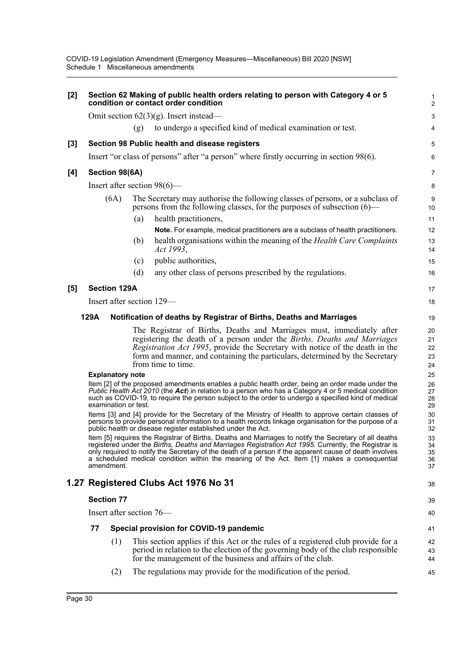| $[2]$ | Section 62 Making of public health orders relating to person with Category 4 or 5<br>condition or contact order condition                                                                                                                                                                                                                                                                                                            |                         |     |                                                                                                                                                                                                                                                                                                                                         |                      |  |  |  |
|-------|--------------------------------------------------------------------------------------------------------------------------------------------------------------------------------------------------------------------------------------------------------------------------------------------------------------------------------------------------------------------------------------------------------------------------------------|-------------------------|-----|-----------------------------------------------------------------------------------------------------------------------------------------------------------------------------------------------------------------------------------------------------------------------------------------------------------------------------------------|----------------------|--|--|--|
|       |                                                                                                                                                                                                                                                                                                                                                                                                                                      |                         |     | Omit section $62(3)(g)$ . Insert instead—                                                                                                                                                                                                                                                                                               | 3                    |  |  |  |
|       |                                                                                                                                                                                                                                                                                                                                                                                                                                      |                         | (g) | to undergo a specified kind of medical examination or test.                                                                                                                                                                                                                                                                             | 4                    |  |  |  |
| $[3]$ |                                                                                                                                                                                                                                                                                                                                                                                                                                      |                         |     | Section 98 Public health and disease registers                                                                                                                                                                                                                                                                                          | 5                    |  |  |  |
|       |                                                                                                                                                                                                                                                                                                                                                                                                                                      |                         |     | Insert "or class of persons" after "a person" where firstly occurring in section 98(6).                                                                                                                                                                                                                                                 | 6                    |  |  |  |
| [4]   |                                                                                                                                                                                                                                                                                                                                                                                                                                      | Section 98(6A)          |     |                                                                                                                                                                                                                                                                                                                                         | 7                    |  |  |  |
|       |                                                                                                                                                                                                                                                                                                                                                                                                                                      |                         |     | Insert after section $98(6)$ —                                                                                                                                                                                                                                                                                                          | 8                    |  |  |  |
|       |                                                                                                                                                                                                                                                                                                                                                                                                                                      | (6A)                    |     | The Secretary may authorise the following classes of persons, or a subclass of<br>persons from the following classes, for the purposes of subsection $(6)$ —                                                                                                                                                                            | 9<br>10              |  |  |  |
|       |                                                                                                                                                                                                                                                                                                                                                                                                                                      |                         | (a) | health practitioners,                                                                                                                                                                                                                                                                                                                   | 11                   |  |  |  |
|       |                                                                                                                                                                                                                                                                                                                                                                                                                                      |                         |     | Note. For example, medical practitioners are a subclass of health practitioners.                                                                                                                                                                                                                                                        | 12                   |  |  |  |
|       |                                                                                                                                                                                                                                                                                                                                                                                                                                      |                         | (b) | health organisations within the meaning of the <i>Health Care Complaints</i><br>Act 1993,                                                                                                                                                                                                                                               | 13<br>14             |  |  |  |
|       |                                                                                                                                                                                                                                                                                                                                                                                                                                      |                         | (c) | public authorities,                                                                                                                                                                                                                                                                                                                     | 15                   |  |  |  |
|       |                                                                                                                                                                                                                                                                                                                                                                                                                                      |                         | (d) | any other class of persons prescribed by the regulations.                                                                                                                                                                                                                                                                               | 16                   |  |  |  |
| [5]   |                                                                                                                                                                                                                                                                                                                                                                                                                                      | <b>Section 129A</b>     |     |                                                                                                                                                                                                                                                                                                                                         | 17                   |  |  |  |
|       |                                                                                                                                                                                                                                                                                                                                                                                                                                      |                         |     | Insert after section 129—                                                                                                                                                                                                                                                                                                               | 18                   |  |  |  |
|       | 129A                                                                                                                                                                                                                                                                                                                                                                                                                                 |                         |     | Notification of deaths by Registrar of Births, Deaths and Marriages                                                                                                                                                                                                                                                                     | 19                   |  |  |  |
|       |                                                                                                                                                                                                                                                                                                                                                                                                                                      |                         |     | The Registrar of Births, Deaths and Marriages must, immediately after<br>registering the death of a person under the Births, Deaths and Marriages<br>Registration Act 1995, provide the Secretary with notice of the death in the<br>form and manner, and containing the particulars, determined by the Secretary<br>from time to time. | 20<br>21<br>22<br>23 |  |  |  |
|       |                                                                                                                                                                                                                                                                                                                                                                                                                                      | <b>Explanatory note</b> |     |                                                                                                                                                                                                                                                                                                                                         | 24<br>25             |  |  |  |
|       | Item [2] of the proposed amendments enables a public health order, being an order made under the<br>Public Health Act 2010 (the Act) in relation to a person who has a Category 4 or 5 medical condition<br>such as COVID-19, to require the person subject to the order to undergo a specified kind of medical<br>examination or test.                                                                                              |                         |     |                                                                                                                                                                                                                                                                                                                                         |                      |  |  |  |
|       | Items [3] and [4] provide for the Secretary of the Ministry of Health to approve certain classes of<br>persons to provide personal information to a health records linkage organisation for the purpose of a<br>public health or disease register established under the Act.                                                                                                                                                         |                         |     |                                                                                                                                                                                                                                                                                                                                         |                      |  |  |  |
|       | Item [5] requires the Registrar of Births, Deaths and Marriages to notify the Secretary of all deaths<br>registered under the Births, Deaths and Marriages Registration Act 1995. Currently, the Registrar is<br>only required to notify the Secretary of the death of a person if the apparent cause of death involves<br>a scheduled medical condition within the meaning of the Act. Item [1] makes a consequential<br>amendment. |                         |     |                                                                                                                                                                                                                                                                                                                                         |                      |  |  |  |
|       |                                                                                                                                                                                                                                                                                                                                                                                                                                      |                         |     | 1.27 Registered Clubs Act 1976 No 31                                                                                                                                                                                                                                                                                                    | 38                   |  |  |  |
|       | <b>Section 77</b>                                                                                                                                                                                                                                                                                                                                                                                                                    |                         |     |                                                                                                                                                                                                                                                                                                                                         |                      |  |  |  |
|       |                                                                                                                                                                                                                                                                                                                                                                                                                                      |                         |     | Insert after section 76—                                                                                                                                                                                                                                                                                                                | 40                   |  |  |  |
|       | 77                                                                                                                                                                                                                                                                                                                                                                                                                                   |                         |     | Special provision for COVID-19 pandemic                                                                                                                                                                                                                                                                                                 | 41                   |  |  |  |
|       |                                                                                                                                                                                                                                                                                                                                                                                                                                      | (1)                     |     | This section applies if this Act or the rules of a registered club provide for a<br>period in relation to the election of the governing body of the club responsible<br>for the management of the business and affairs of the club.                                                                                                     | 42<br>43<br>44       |  |  |  |
|       |                                                                                                                                                                                                                                                                                                                                                                                                                                      | (2)                     |     | The regulations may provide for the modification of the period.                                                                                                                                                                                                                                                                         | 45                   |  |  |  |
|       |                                                                                                                                                                                                                                                                                                                                                                                                                                      |                         |     |                                                                                                                                                                                                                                                                                                                                         |                      |  |  |  |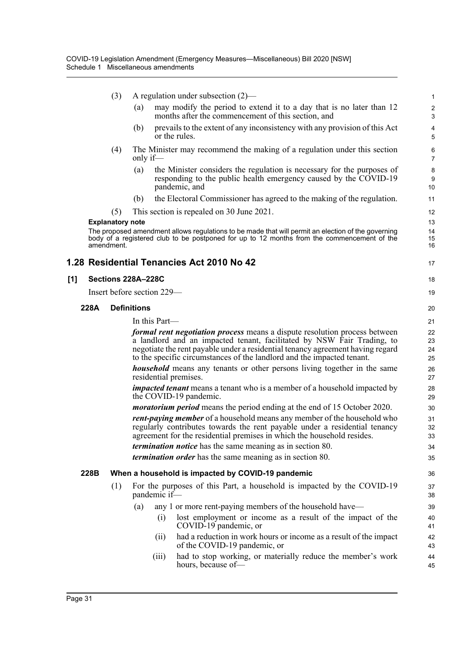|     |      | (3)                     | A regulation under subsection $(2)$ — |                                                                                                                                                                                                                                                                                                                         |                                |  |  |  |
|-----|------|-------------------------|---------------------------------------|-------------------------------------------------------------------------------------------------------------------------------------------------------------------------------------------------------------------------------------------------------------------------------------------------------------------------|--------------------------------|--|--|--|
|     |      |                         | (a)                                   | may modify the period to extend it to a day that is no later than 12<br>months after the commencement of this section, and                                                                                                                                                                                              | $\overline{c}$<br>$\mathbf{3}$ |  |  |  |
|     |      |                         | (b)<br>or the rules.                  | prevails to the extent of any inconsistency with any provision of this Act                                                                                                                                                                                                                                              | 4<br>5                         |  |  |  |
|     |      | (4)                     | only if—                              | The Minister may recommend the making of a regulation under this section                                                                                                                                                                                                                                                | 6<br>$\overline{7}$            |  |  |  |
|     |      |                         | (a)                                   | the Minister considers the regulation is necessary for the purposes of<br>responding to the public health emergency caused by the COVID-19<br>pandemic, and                                                                                                                                                             | 8<br>9<br>10                   |  |  |  |
|     |      |                         | (b)                                   | the Electoral Commissioner has agreed to the making of the regulation.                                                                                                                                                                                                                                                  | 11                             |  |  |  |
|     |      | (5)                     |                                       | This section is repealed on 30 June 2021.                                                                                                                                                                                                                                                                               | 12                             |  |  |  |
|     |      | <b>Explanatory note</b> |                                       |                                                                                                                                                                                                                                                                                                                         | 13                             |  |  |  |
|     |      | amendment.              |                                       | The proposed amendment allows regulations to be made that will permit an election of the governing<br>body of a registered club to be postponed for up to 12 months from the commencement of the                                                                                                                        | 14<br>15<br>16                 |  |  |  |
|     |      |                         |                                       | 1.28 Residential Tenancies Act 2010 No 42                                                                                                                                                                                                                                                                               | 17                             |  |  |  |
| [1] |      |                         | <b>Sections 228A-228C</b>             |                                                                                                                                                                                                                                                                                                                         | 18                             |  |  |  |
|     |      |                         | Insert before section 229-            |                                                                                                                                                                                                                                                                                                                         |                                |  |  |  |
|     | 228A |                         | <b>Definitions</b>                    |                                                                                                                                                                                                                                                                                                                         | 20                             |  |  |  |
|     |      |                         | In this Part—                         |                                                                                                                                                                                                                                                                                                                         | 21                             |  |  |  |
|     |      |                         |                                       | <i>formal rent negotiation process</i> means a dispute resolution process between<br>a landlord and an impacted tenant, facilitated by NSW Fair Trading, to<br>negotiate the rent payable under a residential tenancy agreement having regard<br>to the specific circumstances of the landlord and the impacted tenant. | 22<br>23<br>24<br>25           |  |  |  |
|     |      |                         | residential premises.                 | <b>household</b> means any tenants or other persons living together in the same                                                                                                                                                                                                                                         | 26<br>27                       |  |  |  |
|     |      |                         |                                       | <i>impacted tenant</i> means a tenant who is a member of a household impacted by<br>the COVID-19 pandemic.                                                                                                                                                                                                              | 28<br>29                       |  |  |  |
|     |      |                         |                                       | <i>moratorium period</i> means the period ending at the end of 15 October 2020.                                                                                                                                                                                                                                         | 30                             |  |  |  |
|     |      |                         |                                       | <i>rent-paying member</i> of a household means any member of the household who<br>regularly contributes towards the rent payable under a residential tenancy<br>agreement for the residential premises in which the household resides.                                                                                  | 31<br>32<br>33                 |  |  |  |
|     |      |                         |                                       | <i>termination notice</i> has the same meaning as in section 80.                                                                                                                                                                                                                                                        | 34                             |  |  |  |
|     |      |                         |                                       | <i>termination order</i> has the same meaning as in section 80.                                                                                                                                                                                                                                                         | 35                             |  |  |  |
|     | 228B |                         |                                       | When a household is impacted by COVID-19 pandemic                                                                                                                                                                                                                                                                       | 36                             |  |  |  |
|     |      | (1)                     | pandemic if-                          | For the purposes of this Part, a household is impacted by the COVID-19                                                                                                                                                                                                                                                  | 37<br>38                       |  |  |  |
|     |      |                         | (a)                                   | any 1 or more rent-paying members of the household have—                                                                                                                                                                                                                                                                | 39                             |  |  |  |
|     |      |                         | (i)                                   | lost employment or income as a result of the impact of the<br>COVID-19 pandemic, or                                                                                                                                                                                                                                     | 40<br>41                       |  |  |  |
|     |      |                         | (ii)                                  | had a reduction in work hours or income as a result of the impact<br>of the COVID-19 pandemic, or                                                                                                                                                                                                                       | 42<br>43                       |  |  |  |
|     |      |                         | (111)                                 | had to stop working, or materially reduce the member's work<br>hours, because of-                                                                                                                                                                                                                                       | 44<br>45                       |  |  |  |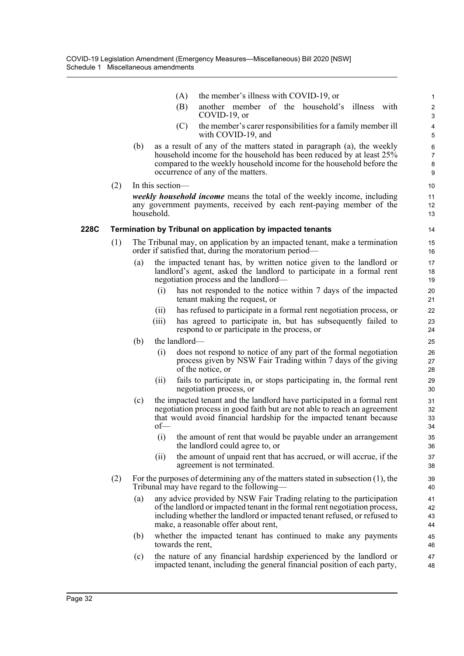|      |     |                                                                                                                                      | (A)               | the member's illness with COVID-19, or                                                                                                                                                                                                                                  | $\mathbf 1$                      |  |  |  |
|------|-----|--------------------------------------------------------------------------------------------------------------------------------------|-------------------|-------------------------------------------------------------------------------------------------------------------------------------------------------------------------------------------------------------------------------------------------------------------------|----------------------------------|--|--|--|
|      |     |                                                                                                                                      | (B)               | another member of the household's illness with<br>COVID-19, or                                                                                                                                                                                                          | $\boldsymbol{2}$<br>$\mathbf{3}$ |  |  |  |
|      |     |                                                                                                                                      | (C)               | the member's carer responsibilities for a family member ill<br>with COVID-19, and                                                                                                                                                                                       | 4<br>5                           |  |  |  |
|      |     | (b)                                                                                                                                  |                   | as a result of any of the matters stated in paragraph (a), the weekly<br>household income for the household has been reduced by at least 25%<br>compared to the weekly household income for the household before the<br>occurrence of any of the matters.               | 6<br>$\overline{7}$<br>8<br>9    |  |  |  |
|      | (2) |                                                                                                                                      | In this section-  |                                                                                                                                                                                                                                                                         | 10                               |  |  |  |
|      |     |                                                                                                                                      | household.        | <i>weekly household income</i> means the total of the weekly income, including<br>any government payments, received by each rent-paying member of the                                                                                                                   | 11<br>12<br>13                   |  |  |  |
| 228C |     |                                                                                                                                      |                   | <b>Termination by Tribunal on application by impacted tenants</b>                                                                                                                                                                                                       | 14                               |  |  |  |
|      | (1) | The Tribunal may, on application by an impacted tenant, make a termination<br>order if satisfied that, during the moratorium period— |                   |                                                                                                                                                                                                                                                                         |                                  |  |  |  |
|      |     | (a)                                                                                                                                  |                   | the impacted tenant has, by written notice given to the landlord or<br>landlord's agent, asked the landlord to participate in a formal rent<br>negotiation process and the landlord—                                                                                    | 17<br>18<br>19                   |  |  |  |
|      |     |                                                                                                                                      | (i)               | has not responded to the notice within 7 days of the impacted<br>tenant making the request, or                                                                                                                                                                          | 20<br>21                         |  |  |  |
|      |     |                                                                                                                                      | (11)              | has refused to participate in a formal rent negotiation process, or                                                                                                                                                                                                     | 22                               |  |  |  |
|      |     |                                                                                                                                      | (iii)             | has agreed to participate in, but has subsequently failed to<br>respond to or participate in the process, or                                                                                                                                                            | 23<br>24                         |  |  |  |
|      |     | (b)                                                                                                                                  | the landlord-     |                                                                                                                                                                                                                                                                         | 25                               |  |  |  |
|      |     |                                                                                                                                      | (i)               | does not respond to notice of any part of the formal negotiation<br>process given by NSW Fair Trading within 7 days of the giving<br>of the notice, or                                                                                                                  | 26<br>27<br>28                   |  |  |  |
|      |     |                                                                                                                                      | (11)              | fails to participate in, or stops participating in, the formal rent<br>negotiation process, or                                                                                                                                                                          | 29<br>30                         |  |  |  |
|      |     | (c)                                                                                                                                  | $of$ —            | the impacted tenant and the landlord have participated in a formal rent<br>negotiation process in good faith but are not able to reach an agreement<br>that would avoid financial hardship for the impacted tenant because                                              | 31<br>32<br>33<br>34             |  |  |  |
|      |     |                                                                                                                                      |                   | (i) the amount of rent that would be payable under an arrangement<br>the landlord could agree to, or                                                                                                                                                                    | 35<br>36                         |  |  |  |
|      |     |                                                                                                                                      | (ii)              | the amount of unpaid rent that has accrued, or will accrue, if the<br>agreement is not terminated.                                                                                                                                                                      | 37<br>38                         |  |  |  |
|      | (2) |                                                                                                                                      |                   | For the purposes of determining any of the matters stated in subsection $(1)$ , the<br>Tribunal may have regard to the following—                                                                                                                                       | 39<br>40                         |  |  |  |
|      |     | (a)                                                                                                                                  |                   | any advice provided by NSW Fair Trading relating to the participation<br>of the landlord or impacted tenant in the formal rent negotiation process,<br>including whether the landlord or impacted tenant refused, or refused to<br>make, a reasonable offer about rent, | 41<br>42<br>43<br>44             |  |  |  |
|      |     | (b)                                                                                                                                  | towards the rent, | whether the impacted tenant has continued to make any payments                                                                                                                                                                                                          | 45<br>46                         |  |  |  |
|      |     | (c)                                                                                                                                  |                   | the nature of any financial hardship experienced by the landlord or<br>impacted tenant, including the general financial position of each party,                                                                                                                         | 47<br>48                         |  |  |  |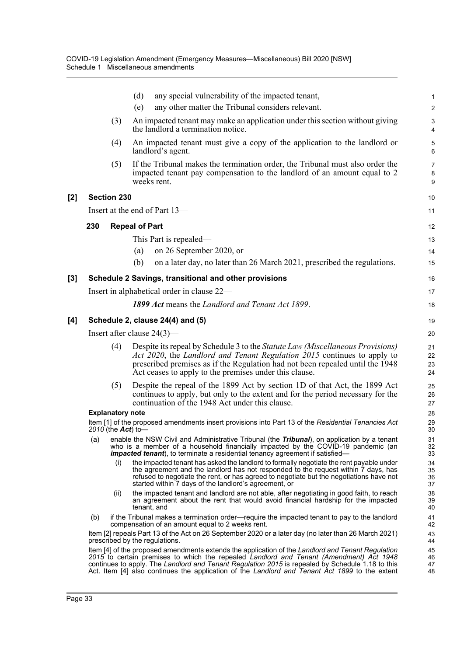|       |                                                                                                                              |                         | (d)         | any special vulnerability of the impacted tenant,                                                                                                                                                                                                                                                                                                                                                  | 1                       |  |
|-------|------------------------------------------------------------------------------------------------------------------------------|-------------------------|-------------|----------------------------------------------------------------------------------------------------------------------------------------------------------------------------------------------------------------------------------------------------------------------------------------------------------------------------------------------------------------------------------------------------|-------------------------|--|
|       |                                                                                                                              |                         | (e)         | any other matter the Tribunal considers relevant.                                                                                                                                                                                                                                                                                                                                                  | $\overline{\mathbf{c}}$ |  |
|       |                                                                                                                              | (3)                     |             | An impacted tenant may make an application under this section without giving<br>the landlord a termination notice.                                                                                                                                                                                                                                                                                 | 3<br>4                  |  |
|       |                                                                                                                              | (4)                     |             | An impacted tenant must give a copy of the application to the landlord or<br>landlord's agent.                                                                                                                                                                                                                                                                                                     | 5<br>6                  |  |
|       |                                                                                                                              | (5)                     | weeks rent. | If the Tribunal makes the termination order, the Tribunal must also order the<br>impacted tenant pay compensation to the landlord of an amount equal to 2                                                                                                                                                                                                                                          | 7<br>8<br>9             |  |
| $[2]$ |                                                                                                                              | <b>Section 230</b>      |             |                                                                                                                                                                                                                                                                                                                                                                                                    | 10                      |  |
|       |                                                                                                                              |                         |             | Insert at the end of Part 13-                                                                                                                                                                                                                                                                                                                                                                      | 11                      |  |
|       | 230                                                                                                                          | <b>Repeal of Part</b>   |             |                                                                                                                                                                                                                                                                                                                                                                                                    |                         |  |
|       |                                                                                                                              |                         |             | This Part is repealed—                                                                                                                                                                                                                                                                                                                                                                             | 12<br>13                |  |
|       |                                                                                                                              |                         | (a)         | on 26 September 2020, or                                                                                                                                                                                                                                                                                                                                                                           | 14                      |  |
|       |                                                                                                                              |                         | (b)         | on a later day, no later than 26 March 2021, prescribed the regulations.                                                                                                                                                                                                                                                                                                                           | 15                      |  |
| $[3]$ |                                                                                                                              |                         |             | Schedule 2 Savings, transitional and other provisions                                                                                                                                                                                                                                                                                                                                              | 16                      |  |
|       |                                                                                                                              |                         |             | Insert in alphabetical order in clause 22—                                                                                                                                                                                                                                                                                                                                                         | 17                      |  |
|       |                                                                                                                              |                         |             | 1899 Act means the Landlord and Tenant Act 1899.                                                                                                                                                                                                                                                                                                                                                   |                         |  |
|       |                                                                                                                              |                         |             |                                                                                                                                                                                                                                                                                                                                                                                                    | 18                      |  |
| [4]   |                                                                                                                              |                         |             | Schedule 2, clause 24(4) and (5)                                                                                                                                                                                                                                                                                                                                                                   | 19                      |  |
|       |                                                                                                                              |                         |             | Insert after clause $24(3)$ —                                                                                                                                                                                                                                                                                                                                                                      | 20                      |  |
|       |                                                                                                                              | (4)                     |             | Despite its repeal by Schedule 3 to the Statute Law (Miscellaneous Provisions)<br>Act 2020, the Landlord and Tenant Regulation 2015 continues to apply to<br>prescribed premises as if the Regulation had not been repealed until the 1948<br>Act ceases to apply to the premises under this clause.                                                                                               | 21<br>22<br>23<br>24    |  |
|       |                                                                                                                              | (5)                     |             | Despite the repeal of the 1899 Act by section 1D of that Act, the 1899 Act<br>continues to apply, but only to the extent and for the period necessary for the<br>continuation of the 1948 Act under this clause.                                                                                                                                                                                   | 25<br>26<br>27          |  |
|       |                                                                                                                              | <b>Explanatory note</b> |             |                                                                                                                                                                                                                                                                                                                                                                                                    | 28                      |  |
|       | Item [1] of the proposed amendments insert provisions into Part 13 of the Residential Tenancies Act<br>2010 (the $Act$ ) to— |                         |             |                                                                                                                                                                                                                                                                                                                                                                                                    |                         |  |
|       |                                                                                                                              |                         |             | (a) enable the NSW Civil and Administrative Tribunal (the Tribunal), on application by a tenant<br>who is a member of a household financially impacted by the COVID-19 pandemic (an<br><i>impacted tenant</i> ), to terminate a residential tenancy agreement if satisfied—                                                                                                                        | 31<br>32<br>33          |  |
|       |                                                                                                                              | (i)                     |             | the impacted tenant has asked the landlord to formally negotiate the rent payable under<br>the agreement and the landlord has not responded to the request within 7 days, has<br>refused to negotiate the rent, or has agreed to negotiate but the negotiations have not<br>started within 7 days of the landlord's agreement, or                                                                  | 34<br>35<br>36<br>37    |  |
|       |                                                                                                                              | (ii)                    | tenant, and | the impacted tenant and landlord are not able, after negotiating in good faith, to reach<br>an agreement about the rent that would avoid financial hardship for the impacted                                                                                                                                                                                                                       | 38<br>39<br>40          |  |
|       | (b)                                                                                                                          |                         |             | if the Tribunal makes a termination order—require the impacted tenant to pay to the landlord<br>compensation of an amount equal to 2 weeks rent.                                                                                                                                                                                                                                                   | 41<br>42                |  |
|       |                                                                                                                              |                         |             | Item [2] repeals Part 13 of the Act on 26 September 2020 or a later day (no later than 26 March 2021)<br>prescribed by the regulations.                                                                                                                                                                                                                                                            | 43<br>44                |  |
|       |                                                                                                                              |                         |             | Item [4] of the proposed amendments extends the application of the Landlord and Tenant Regulation<br>2015 to certain premises to which the repealed Landlord and Tenant (Amendment) Act 1948<br>continues to apply. The Landlord and Tenant Regulation 2015 is repealed by Schedule 1.18 to this<br>Act. Item [4] also continues the application of the Landlord and Tenant Act 1899 to the extent | 45<br>46<br>47<br>48    |  |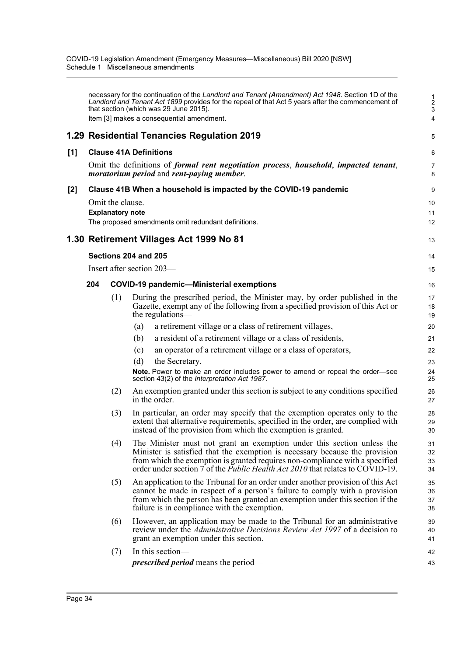|     |                                                                                                                                                                        |     | necessary for the continuation of the Landlord and Tenant (Amendment) Act 1948. Section 1D of the<br>Landlord and Tenant Act 1899 provides for the repeal of that Act 5 years after the commencement of<br>that section (which was 29 June 2015).<br>Item [3] makes a consequential amendment.                                | $\frac{1}{2}$<br>3<br>$\overline{4}$ |
|-----|------------------------------------------------------------------------------------------------------------------------------------------------------------------------|-----|-------------------------------------------------------------------------------------------------------------------------------------------------------------------------------------------------------------------------------------------------------------------------------------------------------------------------------|--------------------------------------|
|     |                                                                                                                                                                        |     | 1.29 Residential Tenancies Regulation 2019                                                                                                                                                                                                                                                                                    | 5                                    |
| [1] |                                                                                                                                                                        |     | <b>Clause 41A Definitions</b><br>Omit the definitions of <i>formal rent negotiation process, household, impacted tenant,</i><br><i>moratorium period and rent-paying member.</i>                                                                                                                                              | 6<br>$\overline{7}$<br>8             |
| [2] | Clause 41B When a household is impacted by the COVID-19 pandemic<br>Omit the clause.<br><b>Explanatory note</b><br>The proposed amendments omit redundant definitions. |     |                                                                                                                                                                                                                                                                                                                               |                                      |
|     |                                                                                                                                                                        |     | 1.30 Retirement Villages Act 1999 No 81                                                                                                                                                                                                                                                                                       | 13                                   |
|     |                                                                                                                                                                        |     | Sections 204 and 205<br>Insert after section 203-                                                                                                                                                                                                                                                                             | 14<br>15                             |
|     | 204                                                                                                                                                                    |     | <b>COVID-19 pandemic-Ministerial exemptions</b>                                                                                                                                                                                                                                                                               | 16                                   |
|     |                                                                                                                                                                        | (1) | During the prescribed period, the Minister may, by order published in the<br>Gazette, exempt any of the following from a specified provision of this Act or<br>the regulations—                                                                                                                                               | 17<br>18<br>19                       |
|     |                                                                                                                                                                        |     | a retirement village or a class of retirement villages,<br>(a)                                                                                                                                                                                                                                                                | 20                                   |
|     |                                                                                                                                                                        |     | a resident of a retirement village or a class of residents,<br>(b)                                                                                                                                                                                                                                                            | 21                                   |
|     |                                                                                                                                                                        |     | an operator of a retirement village or a class of operators,<br>(c)                                                                                                                                                                                                                                                           | 22                                   |
|     |                                                                                                                                                                        |     | the Secretary.<br>(d)                                                                                                                                                                                                                                                                                                         | 23                                   |
|     |                                                                                                                                                                        |     | Note. Power to make an order includes power to amend or repeal the order-see<br>section 43(2) of the Interpretation Act 1987.                                                                                                                                                                                                 | 24<br>25                             |
|     |                                                                                                                                                                        | (2) | An exemption granted under this section is subject to any conditions specified<br>in the order.                                                                                                                                                                                                                               | 26<br>27                             |
|     |                                                                                                                                                                        | (3) | In particular, an order may specify that the exemption operates only to the<br>extent that alternative requirements, specified in the order, are complied with<br>instead of the provision from which the exemption is granted.                                                                                               | 28<br>29<br>30                       |
|     |                                                                                                                                                                        | (4) | The Minister must not grant an exemption under this section unless the<br>Minister is satisfied that the exemption is necessary because the provision<br>from which the exemption is granted requires non-compliance with a specified<br>order under section 7 of the <i>Public Health Act 2010</i> that relates to COVID-19. | 31<br>32<br>33<br>34                 |
|     |                                                                                                                                                                        | (5) | An application to the Tribunal for an order under another provision of this Act<br>cannot be made in respect of a person's failure to comply with a provision<br>from which the person has been granted an exemption under this section if the<br>failure is in compliance with the exemption.                                | 35<br>36<br>37<br>38                 |
|     |                                                                                                                                                                        | (6) | However, an application may be made to the Tribunal for an administrative<br>review under the <i>Administrative Decisions Review Act 1997</i> of a decision to<br>grant an exemption under this section.                                                                                                                      | 39<br>40<br>41                       |
|     |                                                                                                                                                                        | (7) | In this section-                                                                                                                                                                                                                                                                                                              | 42                                   |
|     |                                                                                                                                                                        |     | <i>prescribed period</i> means the period-                                                                                                                                                                                                                                                                                    | 43                                   |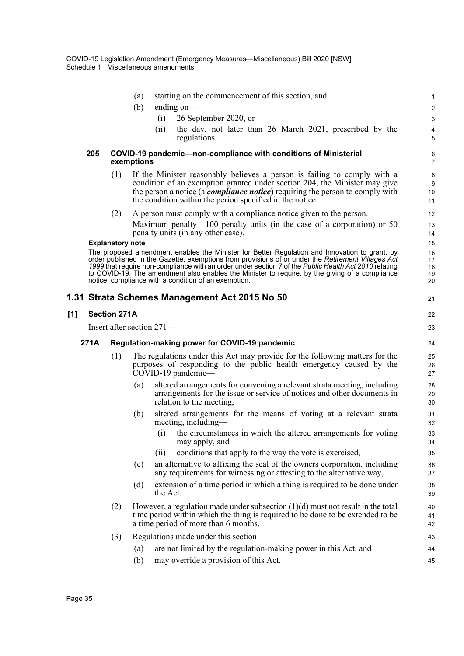|     |      |                         | starting on the commencement of this section, and<br>(a)                                                                                                                                                                                                                                                                                                              | 1                    |
|-----|------|-------------------------|-----------------------------------------------------------------------------------------------------------------------------------------------------------------------------------------------------------------------------------------------------------------------------------------------------------------------------------------------------------------------|----------------------|
|     |      |                         | (b)<br>ending on-                                                                                                                                                                                                                                                                                                                                                     | $\overline{2}$       |
|     |      |                         | 26 September 2020, or<br>(i)                                                                                                                                                                                                                                                                                                                                          | 3                    |
|     |      |                         | the day, not later than 26 March 2021, prescribed by the<br>(ii)<br>regulations.                                                                                                                                                                                                                                                                                      | 4<br>5               |
|     | 205  |                         | COVID-19 pandemic-non-compliance with conditions of Ministerial<br>exemptions                                                                                                                                                                                                                                                                                         | 6<br>$\overline{7}$  |
|     |      | (1)                     | If the Minister reasonably believes a person is failing to comply with a<br>condition of an exemption granted under section 204, the Minister may give<br>the person a notice (a <i>compliance notice</i> ) requiring the person to comply with<br>the condition within the period specified in the notice.                                                           | 8<br>9<br>10<br>11   |
|     |      | (2)                     | A person must comply with a compliance notice given to the person.                                                                                                                                                                                                                                                                                                    | 12                   |
|     |      |                         | Maximum penalty—100 penalty units (in the case of a corporation) or 50<br>penalty units (in any other case).                                                                                                                                                                                                                                                          | 13<br>14             |
|     |      | <b>Explanatory note</b> | The proposed amendment enables the Minister for Better Regulation and Innovation to grant, by                                                                                                                                                                                                                                                                         | 15<br>16             |
|     |      |                         | order published in the Gazette, exemptions from provisions of or under the Retirement Villages Act<br>1999 that require non-compliance with an order under section 7 of the Public Health Act 2010 relating<br>to COVID-19. The amendment also enables the Minister to require, by the giving of a compliance<br>notice, compliance with a condition of an exemption. | 17<br>18<br>19<br>20 |
|     |      |                         | 1.31 Strata Schemes Management Act 2015 No 50                                                                                                                                                                                                                                                                                                                         | 21                   |
| [1] |      | <b>Section 271A</b>     |                                                                                                                                                                                                                                                                                                                                                                       | 22                   |
|     |      |                         | Insert after section 271-                                                                                                                                                                                                                                                                                                                                             | 23                   |
|     | 271A |                         | Regulation-making power for COVID-19 pandemic                                                                                                                                                                                                                                                                                                                         | 24                   |
|     |      | (1)                     | The regulations under this Act may provide for the following matters for the<br>purposes of responding to the public health emergency caused by the<br>COVID-19 pandemic-                                                                                                                                                                                             | 25<br>26<br>27       |
|     |      |                         | altered arrangements for convening a relevant strata meeting, including<br>(a)<br>arrangements for the issue or service of notices and other documents in<br>relation to the meeting,                                                                                                                                                                                 | 28<br>29<br>30       |
|     |      |                         | altered arrangements for the means of voting at a relevant strata<br>(b)<br>meeting, including—                                                                                                                                                                                                                                                                       | 31<br>32             |
|     |      |                         | (i) the circumstances in which the altered arrangements for voting<br>may apply, and                                                                                                                                                                                                                                                                                  | 33<br>34             |
|     |      |                         | conditions that apply to the way the vote is exercised,<br>(ii)                                                                                                                                                                                                                                                                                                       | 35                   |
|     |      |                         | an alternative to affixing the seal of the owners corporation, including<br>(c)<br>any requirements for witnessing or attesting to the alternative way,                                                                                                                                                                                                               | 36<br>37             |
|     |      |                         | extension of a time period in which a thing is required to be done under<br>(d)<br>the Act.                                                                                                                                                                                                                                                                           | 38<br>39             |
|     |      | (2)                     | However, a regulation made under subsection $(1)(d)$ must not result in the total                                                                                                                                                                                                                                                                                     | 40<br>41             |
|     |      |                         | time period within which the thing is required to be done to be extended to be<br>a time period of more than 6 months.                                                                                                                                                                                                                                                | 42                   |
|     |      | (3)                     | Regulations made under this section-                                                                                                                                                                                                                                                                                                                                  | 43                   |
|     |      |                         | are not limited by the regulation-making power in this Act, and<br>(a)<br>may override a provision of this Act.                                                                                                                                                                                                                                                       | 44                   |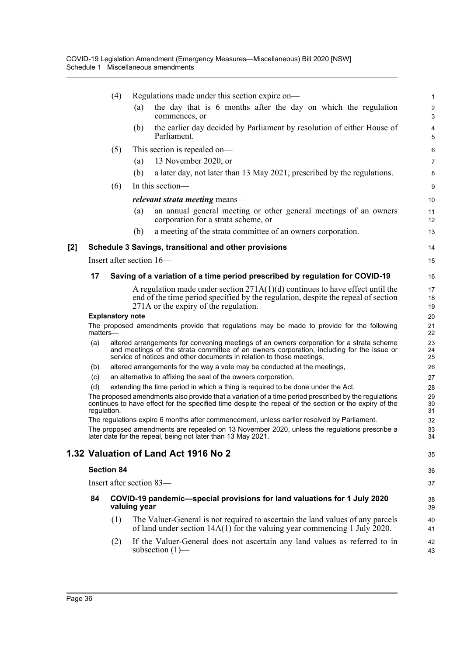|     |                                                                                                       | (4)                                                                                      | Regulations made under this section expire on-                                                                                                                                                                                                                 | 1                            |  |  |
|-----|-------------------------------------------------------------------------------------------------------|------------------------------------------------------------------------------------------|----------------------------------------------------------------------------------------------------------------------------------------------------------------------------------------------------------------------------------------------------------------|------------------------------|--|--|
|     |                                                                                                       |                                                                                          | the day that is 6 months after the day on which the regulation<br>(a)<br>commences, or                                                                                                                                                                         | $\overline{\mathbf{c}}$<br>3 |  |  |
|     |                                                                                                       |                                                                                          | the earlier day decided by Parliament by resolution of either House of<br>(b)<br>Parliament.                                                                                                                                                                   | 4<br>5                       |  |  |
|     |                                                                                                       | (5)                                                                                      | This section is repealed on—                                                                                                                                                                                                                                   | 6                            |  |  |
|     |                                                                                                       |                                                                                          | 13 November 2020, or<br>(a)                                                                                                                                                                                                                                    | 7                            |  |  |
|     |                                                                                                       |                                                                                          | a later day, not later than 13 May 2021, prescribed by the regulations.<br>(b)                                                                                                                                                                                 | 8                            |  |  |
|     |                                                                                                       | (6)                                                                                      | In this section-                                                                                                                                                                                                                                               | 9                            |  |  |
|     |                                                                                                       |                                                                                          | <i>relevant strata meeting means—</i>                                                                                                                                                                                                                          | 10                           |  |  |
|     |                                                                                                       |                                                                                          | an annual general meeting or other general meetings of an owners<br>(a)<br>corporation for a strata scheme, or                                                                                                                                                 | 11<br>12                     |  |  |
|     |                                                                                                       |                                                                                          | a meeting of the strata committee of an owners corporation.<br>(b)                                                                                                                                                                                             | 13                           |  |  |
| [2] |                                                                                                       |                                                                                          | Schedule 3 Savings, transitional and other provisions                                                                                                                                                                                                          | 14                           |  |  |
|     |                                                                                                       |                                                                                          | Insert after section 16—                                                                                                                                                                                                                                       | 15                           |  |  |
|     |                                                                                                       |                                                                                          |                                                                                                                                                                                                                                                                |                              |  |  |
|     | 17                                                                                                    |                                                                                          | Saving of a variation of a time period prescribed by regulation for COVID-19                                                                                                                                                                                   | 16                           |  |  |
|     |                                                                                                       |                                                                                          | A regulation made under section $271A(1)(d)$ continues to have effect until the<br>end of the time period specified by the regulation, despite the repeal of section<br>271A or the expiry of the regulation.                                                  | 17<br>18<br>19               |  |  |
|     |                                                                                                       | <b>Explanatory note</b>                                                                  |                                                                                                                                                                                                                                                                | 20                           |  |  |
|     | The proposed amendments provide that regulations may be made to provide for the following<br>matters- |                                                                                          |                                                                                                                                                                                                                                                                |                              |  |  |
|     | (a)                                                                                                   |                                                                                          | altered arrangements for convening meetings of an owners corporation for a strata scheme<br>and meetings of the strata committee of an owners corporation, including for the issue or<br>service of notices and other documents in relation to those meetings, | 23<br>24<br>25               |  |  |
|     | (b)                                                                                                   |                                                                                          | altered arrangements for the way a vote may be conducted at the meetings,                                                                                                                                                                                      | 26                           |  |  |
|     | (c)                                                                                                   |                                                                                          | an alternative to affixing the seal of the owners corporation,                                                                                                                                                                                                 | 27                           |  |  |
|     | (d)<br>extending the time period in which a thing is required to be done under the Act.<br>28         |                                                                                          |                                                                                                                                                                                                                                                                |                              |  |  |
|     | regulation.                                                                                           |                                                                                          | The proposed amendments also provide that a variation of a time period prescribed by the regulations<br>continues to have effect for the specified time despite the repeal of the section or the expiry of the                                                 | 29<br>30<br>31               |  |  |
|     |                                                                                                       |                                                                                          | The regulations expire 6 months after commencement, unless earlier resolved by Parliament.                                                                                                                                                                     | 32                           |  |  |
|     |                                                                                                       |                                                                                          | The proposed amendments are repealed on 13 November 2020, unless the regulations prescribe a<br>later date for the repeal, being not later than 13 May 2021.                                                                                                   | 33<br>34                     |  |  |
|     |                                                                                                       |                                                                                          | 1.32 Valuation of Land Act 1916 No 2                                                                                                                                                                                                                           | 35                           |  |  |
|     | <b>Section 84</b>                                                                                     |                                                                                          |                                                                                                                                                                                                                                                                |                              |  |  |
|     | Insert after section 83-                                                                              |                                                                                          |                                                                                                                                                                                                                                                                |                              |  |  |
|     | 84                                                                                                    | COVID-19 pandemic-special provisions for land valuations for 1 July 2020<br>valuing year |                                                                                                                                                                                                                                                                |                              |  |  |
|     |                                                                                                       | (1)                                                                                      | The Valuer-General is not required to ascertain the land values of any parcels<br>of land under section $14A(1)$ for the valuing year commencing 1 July 2020.                                                                                                  | 40<br>41                     |  |  |
|     |                                                                                                       | (2)                                                                                      | If the Valuer-General does not ascertain any land values as referred to in<br>subsection $(1)$ —                                                                                                                                                               | 42<br>43                     |  |  |
|     |                                                                                                       |                                                                                          |                                                                                                                                                                                                                                                                |                              |  |  |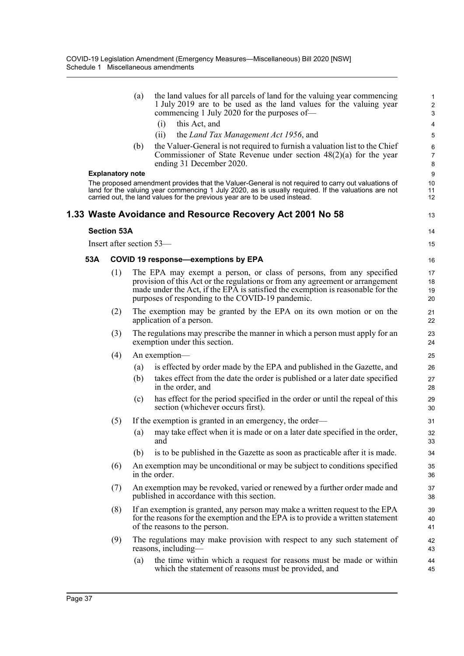|     |                         | (a) | the land values for all parcels of land for the valuing year commencing<br>1 July 2019 are to be used as the land values for the valuing year<br>commencing 1 July 2020 for the purposes of—                                                                                                 | $\mathbf{1}$<br>$\sqrt{2}$<br>$\sqrt{3}$ |
|-----|-------------------------|-----|----------------------------------------------------------------------------------------------------------------------------------------------------------------------------------------------------------------------------------------------------------------------------------------------|------------------------------------------|
|     |                         |     | (i)<br>this Act, and                                                                                                                                                                                                                                                                         | 4                                        |
|     |                         |     | (ii)<br>the Land Tax Management Act 1956, and                                                                                                                                                                                                                                                | 5                                        |
|     |                         | (b) | the Valuer-General is not required to furnish a valuation list to the Chief<br>Commissioner of State Revenue under section $48(2)(a)$ for the year<br>ending 31 December 2020.                                                                                                               | 6<br>$\overline{7}$<br>8                 |
|     | <b>Explanatory note</b> |     |                                                                                                                                                                                                                                                                                              | $\boldsymbol{9}$                         |
|     |                         |     | The proposed amendment provides that the Valuer-General is not required to carry out valuations of<br>land for the valuing year commencing 1 July 2020, as is usually required. If the valuations are not<br>carried out, the land values for the previous year are to be used instead.      | 10<br>11<br>12                           |
|     |                         |     | 1.33 Waste Avoidance and Resource Recovery Act 2001 No 58                                                                                                                                                                                                                                    | 13                                       |
|     | <b>Section 53A</b>      |     |                                                                                                                                                                                                                                                                                              | 14                                       |
|     |                         |     | Insert after section 53-                                                                                                                                                                                                                                                                     | 15                                       |
| 53A |                         |     | <b>COVID 19 response-exemptions by EPA</b>                                                                                                                                                                                                                                                   | 16                                       |
|     | (1)                     |     | The EPA may exempt a person, or class of persons, from any specified<br>provision of this Act or the regulations or from any agreement or arrangement<br>made under the Act, if the EPA is satisfied the exemption is reasonable for the<br>purposes of responding to the COVID-19 pandemic. | 17<br>18<br>19<br>20                     |
|     | (2)                     |     | The exemption may be granted by the EPA on its own motion or on the<br>application of a person.                                                                                                                                                                                              | 21<br>22                                 |
|     | (3)                     |     | The regulations may prescribe the manner in which a person must apply for an<br>exemption under this section.                                                                                                                                                                                | 23<br>24                                 |
|     | (4)                     |     | An exemption—                                                                                                                                                                                                                                                                                | 25                                       |
|     |                         | (a) | is effected by order made by the EPA and published in the Gazette, and                                                                                                                                                                                                                       | 26                                       |
|     |                         | (b) | takes effect from the date the order is published or a later date specified<br>in the order, and                                                                                                                                                                                             | 27<br>28                                 |
|     |                         | (c) | has effect for the period specified in the order or until the repeal of this<br>section (whichever occurs first).                                                                                                                                                                            | 29<br>30                                 |
|     | (5)                     |     | If the exemption is granted in an emergency, the order—                                                                                                                                                                                                                                      | 31                                       |
|     |                         | (a) | may take effect when it is made or on a later date specified in the order,<br>and                                                                                                                                                                                                            | 32<br>33                                 |
|     |                         | (b) | is to be published in the Gazette as soon as practicable after it is made.                                                                                                                                                                                                                   | 34                                       |
|     | (6)                     |     | An exemption may be unconditional or may be subject to conditions specified<br>in the order.                                                                                                                                                                                                 | 35<br>36                                 |
|     | (7)                     |     | An exemption may be revoked, varied or renewed by a further order made and<br>published in accordance with this section.                                                                                                                                                                     | 37<br>38                                 |
|     | (8)                     |     | If an exemption is granted, any person may make a written request to the EPA<br>for the reasons for the exemption and the EPA is to provide a written statement<br>of the reasons to the person.                                                                                             | 39<br>40<br>41                           |
|     | (9)                     |     | The regulations may make provision with respect to any such statement of<br>reasons, including—                                                                                                                                                                                              | 42<br>43                                 |
|     |                         | (a) | the time within which a request for reasons must be made or within<br>which the statement of reasons must be provided, and                                                                                                                                                                   | 44<br>45                                 |